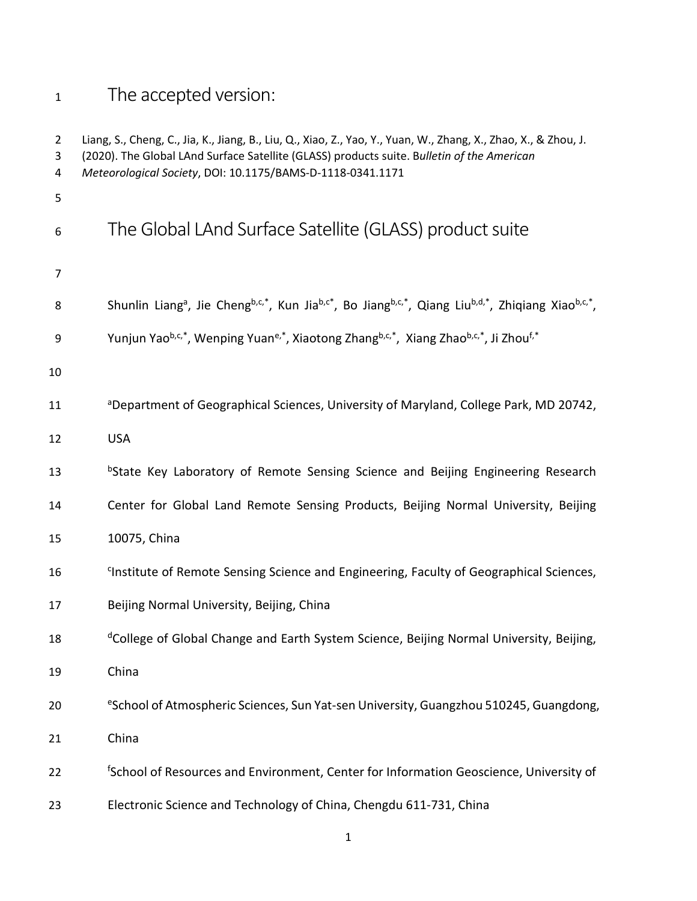# <sup>1</sup> The accepted version:

| $\overline{2}$<br>3<br>4 | Liang, S., Cheng, C., Jia, K., Jiang, B., Liu, Q., Xiao, Z., Yao, Y., Yuan, W., Zhang, X., Zhao, X., & Zhou, J.<br>(2020). The Global LAnd Surface Satellite (GLASS) products suite. Bulletin of the American<br>Meteorological Society, DOI: 10.1175/BAMS-D-1118-0341.1171 |
|--------------------------|-----------------------------------------------------------------------------------------------------------------------------------------------------------------------------------------------------------------------------------------------------------------------------|
| 5                        |                                                                                                                                                                                                                                                                             |
| 6                        | The Global LAnd Surface Satellite (GLASS) product suite                                                                                                                                                                                                                     |
| 7                        |                                                                                                                                                                                                                                                                             |
| 8                        | Shunlin Liang <sup>a</sup> , Jie Cheng <sup>b,c,*</sup> , Kun Jia <sup>b,c*</sup> , Bo Jiang <sup>b,c,*</sup> , Qiang Liu <sup>b,d,*</sup> , Zhiqiang Xiao <sup>b,c,*</sup> ,                                                                                               |
| 9                        | Yunjun Yao <sup>b,c,*</sup> , Wenping Yuan <sup>e,*</sup> , Xiaotong Zhang <sup>b,c,*</sup> , Xiang Zhao <sup>b,c,*</sup> , Ji Zhou <sup>f,*</sup>                                                                                                                          |
| 10                       |                                                                                                                                                                                                                                                                             |
| 11                       | <sup>a</sup> Department of Geographical Sciences, University of Maryland, College Park, MD 20742,                                                                                                                                                                           |
| 12                       | <b>USA</b>                                                                                                                                                                                                                                                                  |
| 13                       | <sup>b</sup> State Key Laboratory of Remote Sensing Science and Beijing Engineering Research                                                                                                                                                                                |
| 14                       | Center for Global Land Remote Sensing Products, Beijing Normal University, Beijing                                                                                                                                                                                          |
| 15                       | 10075, China                                                                                                                                                                                                                                                                |
| 16                       | <sup>c</sup> Institute of Remote Sensing Science and Engineering, Faculty of Geographical Sciences,                                                                                                                                                                         |
| 17                       | Beijing Normal University, Beijing, China                                                                                                                                                                                                                                   |
| 18                       | <sup>d</sup> College of Global Change and Earth System Science, Beijing Normal University, Beijing,                                                                                                                                                                         |
| 19                       | China                                                                                                                                                                                                                                                                       |
| 20                       | eSchool of Atmospheric Sciences, Sun Yat-sen University, Guangzhou 510245, Guangdong,                                                                                                                                                                                       |
| 21                       | China                                                                                                                                                                                                                                                                       |
| 22                       | <sup>f</sup> School of Resources and Environment, Center for Information Geoscience, University of                                                                                                                                                                          |
| 23                       | Electronic Science and Technology of China, Chengdu 611-731, China                                                                                                                                                                                                          |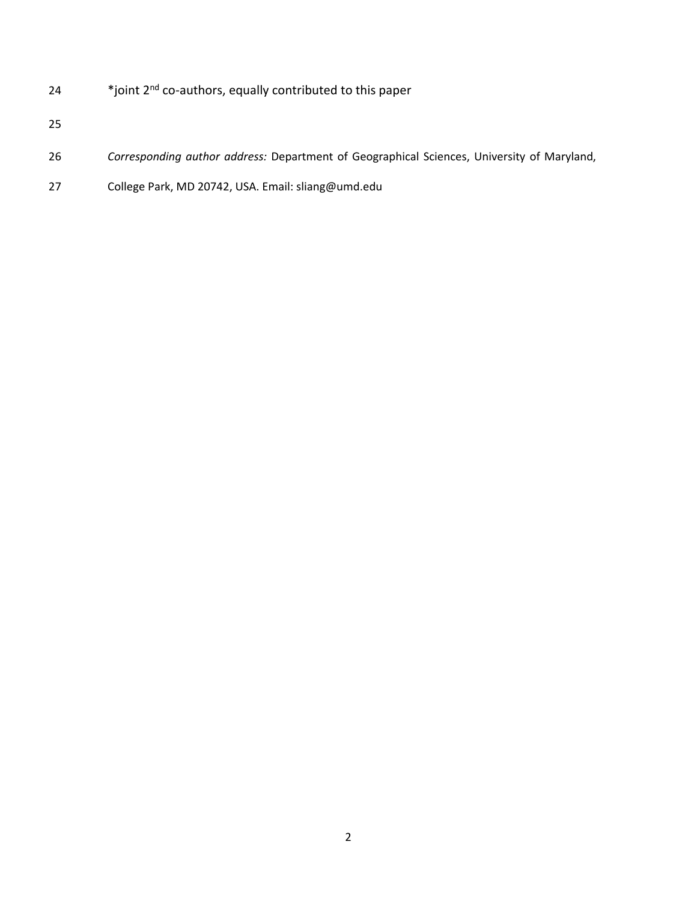- 24 \*joint 2<sup>nd</sup> co-authors, equally contributed to this paper
- 
- *Corresponding author address:* Department of Geographical Sciences, University of Maryland,
- College Park, MD 20742, USA. Email: sliang@umd.edu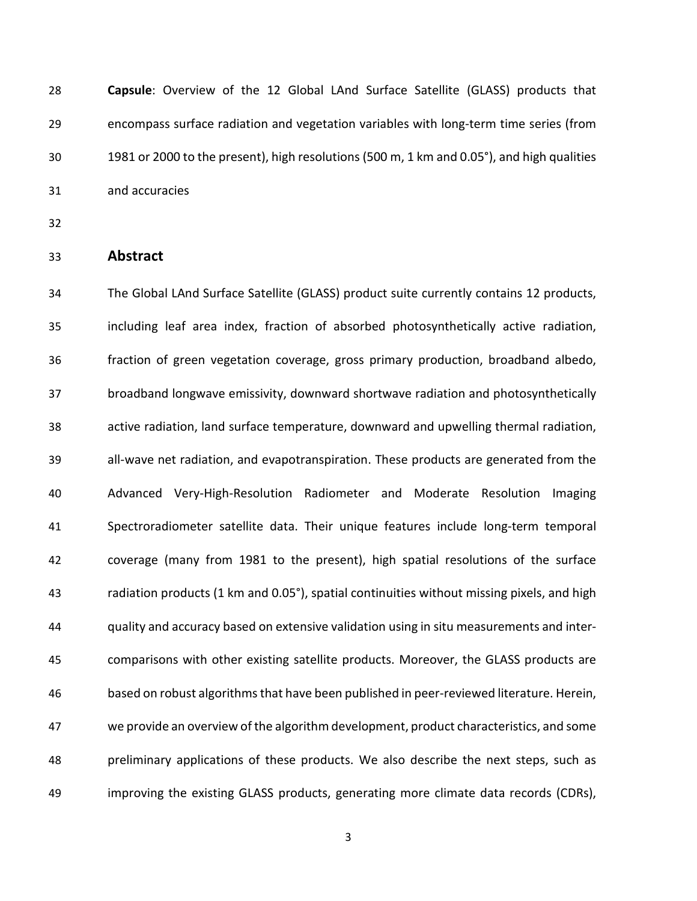**Capsule**: Overview of the 12 Global LAnd Surface Satellite (GLASS) products that encompass surface radiation and vegetation variables with long-term time series (from 1981 or 2000 to the present), high resolutions (500 m, 1 km and 0.05°), and high qualities and accuracies

# **Abstract**

 The Global LAnd Surface Satellite (GLASS) product suite currently contains 12 products, including leaf area index, fraction of absorbed photosynthetically active radiation, fraction of green vegetation coverage, gross primary production, broadband albedo, broadband longwave emissivity, downward shortwave radiation and photosynthetically active radiation, land surface temperature, downward and upwelling thermal radiation, all-wave net radiation, and evapotranspiration. These products are generated from the Advanced Very-High-Resolution Radiometer and Moderate Resolution Imaging Spectroradiometer satellite data. Their unique features include long-term temporal coverage (many from 1981 to the present), high spatial resolutions of the surface radiation products (1 km and 0.05°), spatial continuities without missing pixels, and high quality and accuracy based on extensive validation using in situ measurements and inter- comparisons with other existing satellite products. Moreover, the GLASS products are based on robust algorithms that have been published in peer-reviewed literature. Herein, we provide an overview of the algorithm development, product characteristics, and some preliminary applications of these products. We also describe the next steps, such as improving the existing GLASS products, generating more climate data records (CDRs),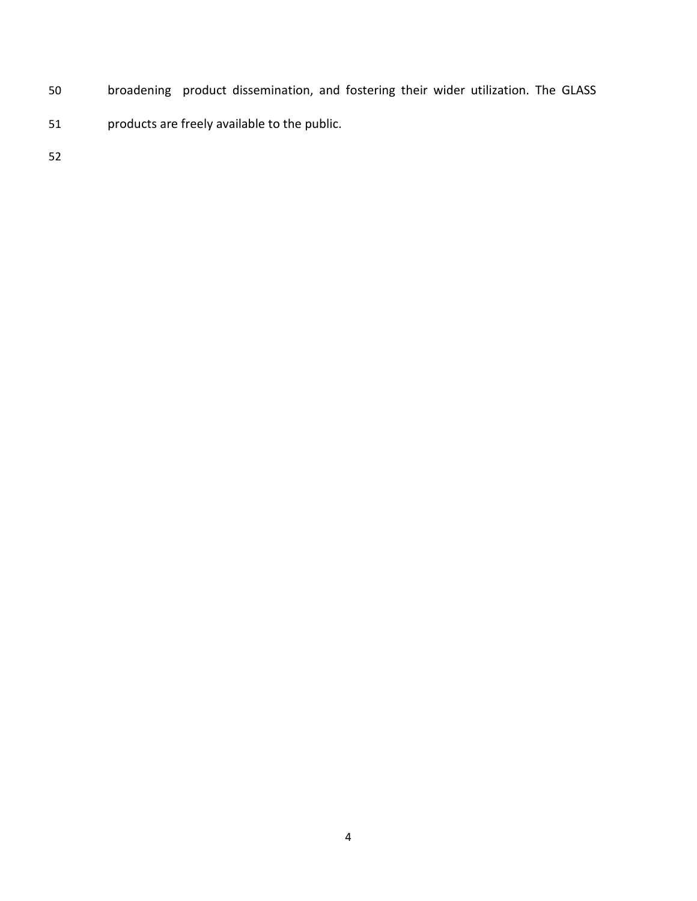- broadening product dissemination, and fostering their wider utilization. The GLASS
- products are freely available to the public.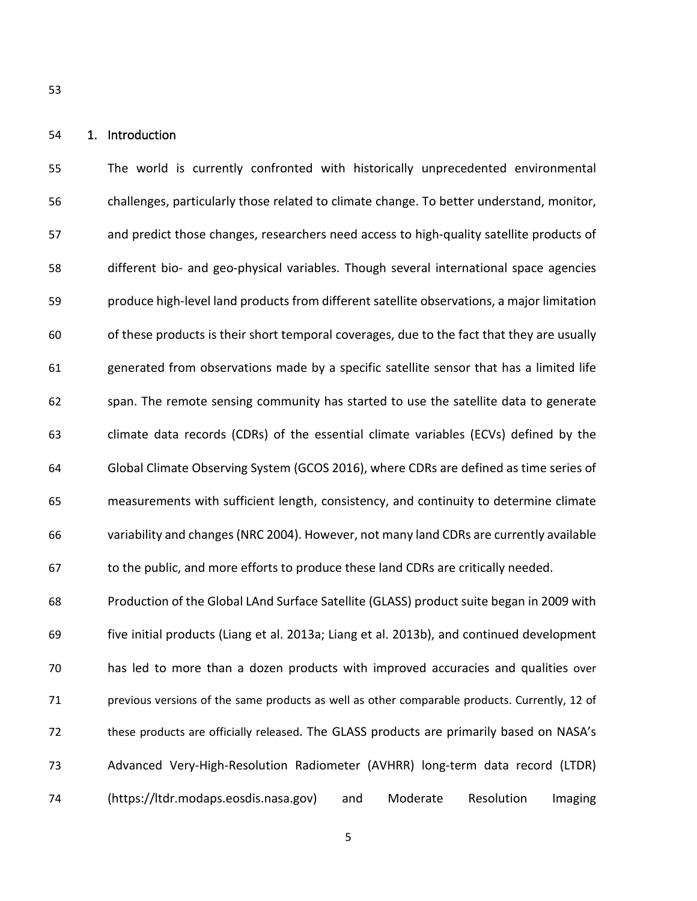#### 1. Introduction

 The world is currently confronted with historically unprecedented environmental challenges, particularly those related to climate change. To better understand, monitor, and predict those changes, researchers need access to high-quality satellite products of different bio- and geo-physical variables. Though several international space agencies produce high-level land products from different satellite observations, a major limitation of these products is their short temporal coverages, due to the fact that they are usually generated from observations made by a specific satellite sensor that has a limited life span. The remote sensing community has started to use the satellite data to generate climate data records (CDRs) of the essential climate variables (ECVs) defined by the Global Climate Observing System (GCOS 2016), where CDRs are defined as time series of measurements with sufficient length, consistency, and continuity to determine climate variability and changes (NRC 2004). However, not many land CDRs are currently available to the public, and more efforts to produce these land CDRs are critically needed.

 Production of the Global LAnd Surface Satellite (GLASS) product suite began in 2009 with five initial products (Liang et al. 2013a; Liang et al. 2013b), and continued development has led to more than a dozen products with improved accuracies and qualities over 71 previous versions of the same products as well as other comparable products. Currently, 12 of these products are officially released. The GLASS products are primarily based on NASA's Advanced Very-High-Resolution Radiometer (AVHRR) long-term data record (LTDR) (https://ltdr.modaps.eosdis.nasa.gov) and Moderate Resolution Imaging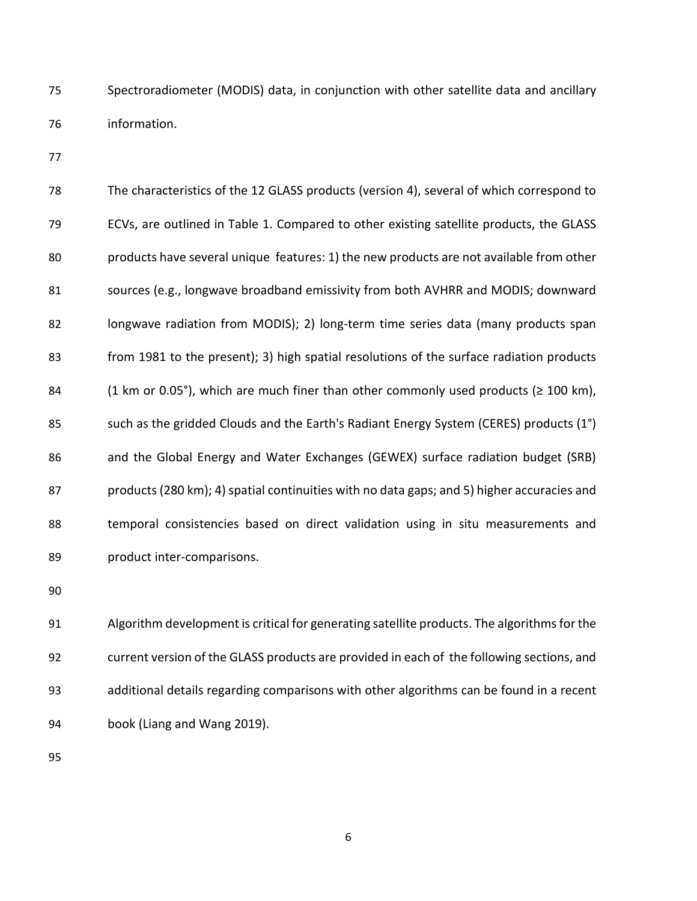Spectroradiometer (MODIS) data, in conjunction with other satellite data and ancillary information.

 The characteristics of the 12 GLASS products (version 4), several of which correspond to ECVs, are outlined in Table 1. Compared to other existing satellite products, the GLASS products have several unique features: 1) the new products are not available from other sources (e.g., longwave broadband emissivity from both AVHRR and MODIS; downward longwave radiation from MODIS); 2) long-term time series data (many products span from 1981 to the present); 3) high spatial resolutions of the surface radiation products 84 (1 km or 0.05°), which are much finer than other commonly used products ( $\geq$  100 km), 85 such as the gridded Clouds and the Earth's Radiant Energy System (CERES) products (1°) and the Global Energy and Water Exchanges (GEWEX) surface radiation budget (SRB) products (280 km); 4) spatial continuities with no data gaps; and 5) higher accuracies and temporal consistencies based on direct validation using in situ measurements and product inter-comparisons.

 Algorithm development is critical for generating satellite products. The algorithms for the current version of the GLASS products are provided in each of the following sections, and additional details regarding comparisons with other algorithms can be found in a recent book (Liang and Wang 2019).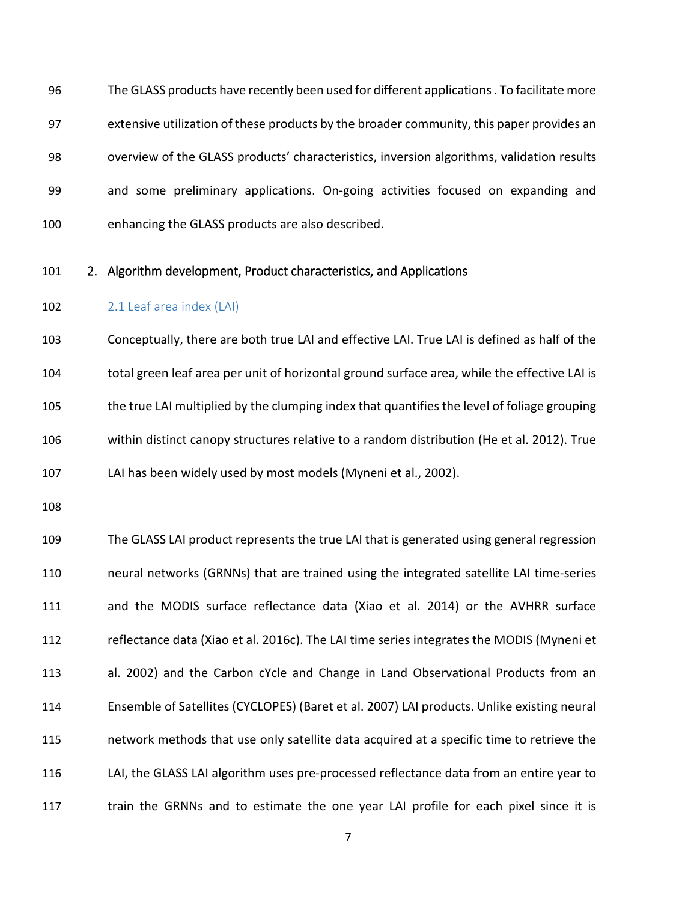The GLASS products have recently been used for different applications . To facilitate more extensive utilization of these products by the broader community, this paper provides an overview of the GLASS products' characteristics, inversion algorithms, validation results and some preliminary applications. On-going activities focused on expanding and enhancing the GLASS products are also described.

# 2. Algorithm development, Product characteristics, and Applications

2.1 Leaf area index (LAI)

 Conceptually, there are both true LAI and effective LAI. True LAI is defined as half of the total green leaf area per unit of horizontal ground surface area, while the effective LAI is the true LAI multiplied by the clumping index that quantifies the level of foliage grouping within distinct canopy structures relative to a random distribution (He et al. 2012). True LAI has been widely used by most models (Myneni et al., 2002).

 The GLASS LAI product represents the true LAI that is generated using general regression neural networks (GRNNs) that are trained using the integrated satellite LAI time-series and the MODIS surface reflectance data (Xiao et al. 2014) or the AVHRR surface reflectance data (Xiao et al. 2016c). The LAI time series integrates the MODIS (Myneni et al. 2002) and the Carbon cYcle and Change in Land Observational Products from an Ensemble of Satellites (CYCLOPES) (Baret et al. 2007) LAI products. Unlike existing neural network methods that use only satellite data acquired at a specific time to retrieve the LAI, the GLASS LAI algorithm uses pre-processed reflectance data from an entire year to 117 train the GRNNs and to estimate the one year LAI profile for each pixel since it is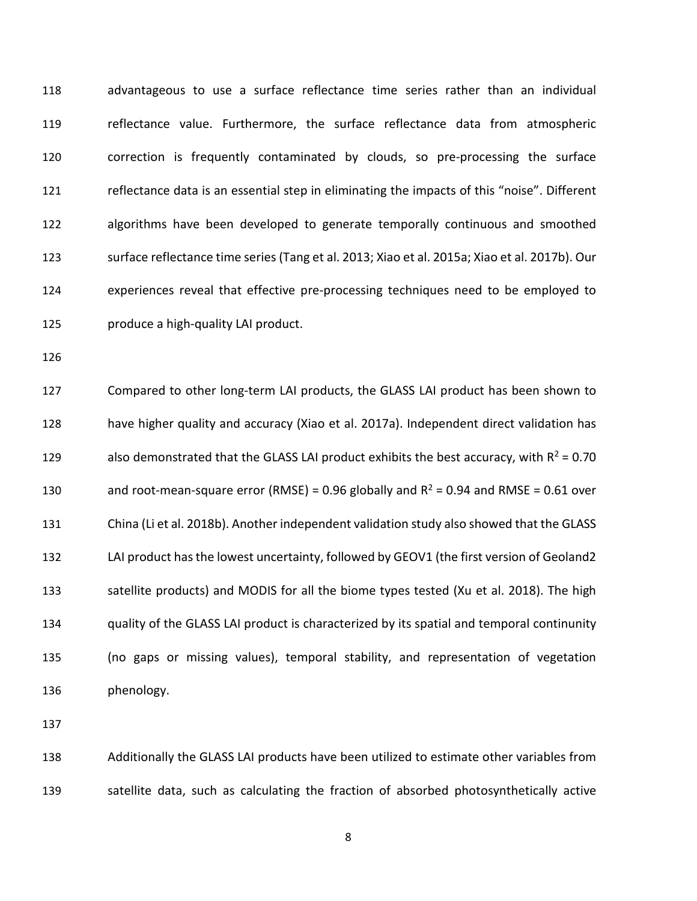advantageous to use a surface reflectance time series rather than an individual reflectance value. Furthermore, the surface reflectance data from atmospheric correction is frequently contaminated by clouds, so pre-processing the surface reflectance data is an essential step in eliminating the impacts of this "noise". Different algorithms have been developed to generate temporally continuous and smoothed surface reflectance time series (Tang et al. 2013; Xiao et al. 2015a; Xiao et al. 2017b). Our experiences reveal that effective pre-processing techniques need to be employed to produce a high-quality LAI product.

 Compared to other long-term LAI products, the GLASS LAI product has been shown to have higher quality and accuracy (Xiao et al. 2017a). Independent direct validation has 129 also demonstrated that the GLASS LAI product exhibits the best accuracy, with  $R^2 = 0.70$ 130 and root-mean-square error (RMSE) = 0.96 globally and  $R^2$  = 0.94 and RMSE = 0.61 over China (Li et al. 2018b). Another independent validation study also showed that the GLASS LAI product has the lowest uncertainty, followed by GEOV1 (the first version of Geoland2 satellite products) and MODIS for all the biome types tested (Xu et al. 2018). The high quality of the GLASS LAI product is characterized by its spatial and temporal continunity (no gaps or missing values), temporal stability, and representation of vegetation phenology.

 Additionally the GLASS LAI products have been utilized to estimate other variables from satellite data, such as calculating the fraction of absorbed photosynthetically active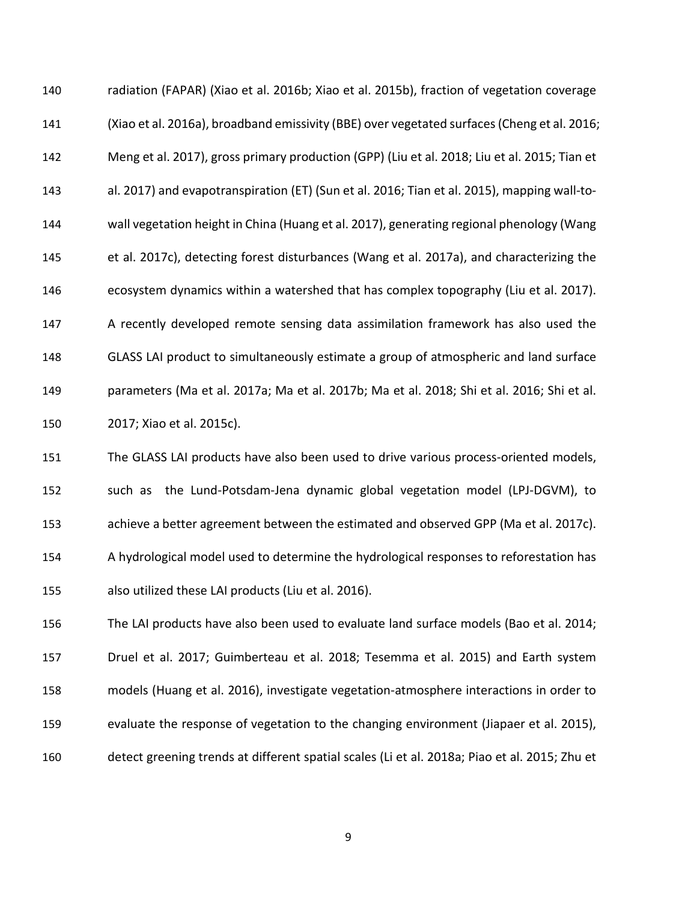radiation (FAPAR) (Xiao et al. 2016b; Xiao et al. 2015b), fraction of vegetation coverage (Xiao et al. 2016a), broadband emissivity (BBE) over vegetated surfaces (Cheng et al. 2016; Meng et al. 2017), gross primary production (GPP) (Liu et al. 2018; Liu et al. 2015; Tian et al. 2017) and evapotranspiration (ET) (Sun et al. 2016; Tian et al. 2015), mapping wall-to- wall vegetation height in China (Huang et al. 2017), generating regional phenology (Wang et al. 2017c), detecting forest disturbances (Wang et al. 2017a), and characterizing the ecosystem dynamics within a watershed that has complex topography (Liu et al. 2017). A recently developed remote sensing data assimilation framework has also used the GLASS LAI product to simultaneously estimate a group of atmospheric and land surface parameters (Ma et al. 2017a; Ma et al. 2017b; Ma et al. 2018; Shi et al. 2016; Shi et al. 2017; Xiao et al. 2015c).

 The GLASS LAI products have also been used to drive various process-oriented models, such as the Lund-Potsdam-Jena dynamic global vegetation model (LPJ-DGVM), to achieve a better agreement between the estimated and observed GPP (Ma et al. 2017c). A hydrological model used to determine the hydrological responses to reforestation has also utilized these LAI products (Liu et al. 2016).

 The LAI products have also been used to evaluate land surface models (Bao et al. 2014; Druel et al. 2017; Guimberteau et al. 2018; Tesemma et al. 2015) and Earth system models (Huang et al. 2016), investigate vegetation-atmosphere interactions in order to evaluate the response of vegetation to the changing environment (Jiapaer et al. 2015), detect greening trends at different spatial scales (Li et al. 2018a; Piao et al. 2015; Zhu et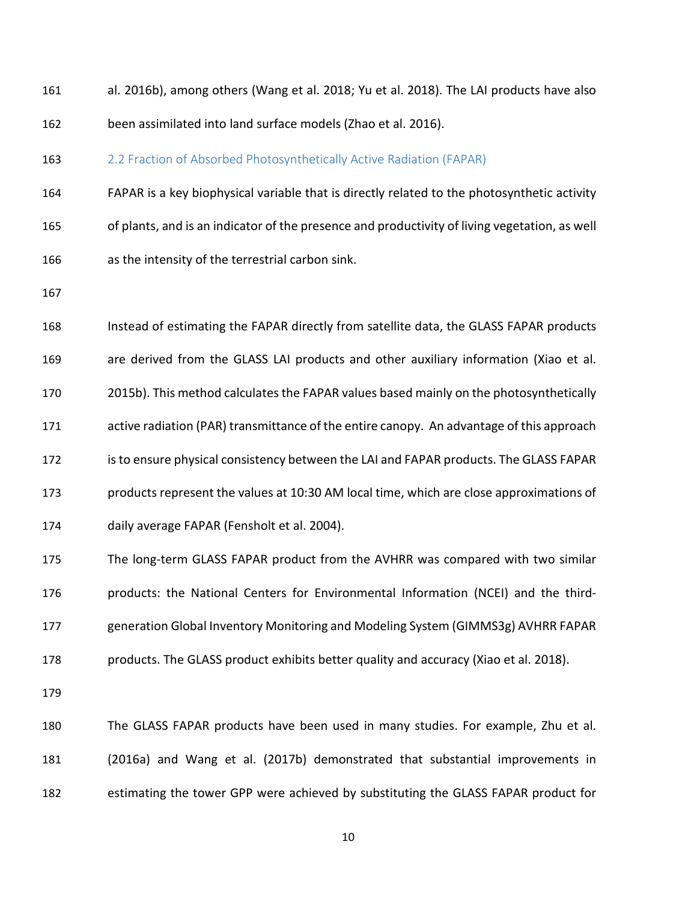al. 2016b), among others (Wang et al. 2018; Yu et al. 2018). The LAI products have also been assimilated into land surface models (Zhao et al. 2016).

#### 163 2.2 Fraction of Absorbed Photosynthetically Active Radiation (FAPAR)

 FAPAR is a key biophysical variable that is directly related to the photosynthetic activity of plants, and is an indicator of the presence and productivity of living vegetation, as well as the intensity of the terrestrial carbon sink.

 Instead of estimating the FAPAR directly from satellite data, the GLASS FAPAR products are derived from the GLASS LAI products and other auxiliary information (Xiao et al. 2015b). This method calculates the FAPAR values based mainly on the photosynthetically active radiation (PAR) transmittance of the entire canopy. An advantage of this approach is to ensure physical consistency between the LAI and FAPAR products. The GLASS FAPAR products represent the values at 10:30 AM local time, which are close approximations of daily average FAPAR (Fensholt et al. 2004). The long-term GLASS FAPAR product from the AVHRR was compared with two similar products: the National Centers for Environmental Information (NCEI) and the third-

generation Global Inventory Monitoring and Modeling System (GIMMS3g) AVHRR FAPAR

products. The GLASS product exhibits better quality and accuracy (Xiao et al. 2018).

 The GLASS FAPAR products have been used in many studies. For example, Zhu et al. (2016a) and Wang et al. (2017b) demonstrated that substantial improvements in estimating the tower GPP were achieved by substituting the GLASS FAPAR product for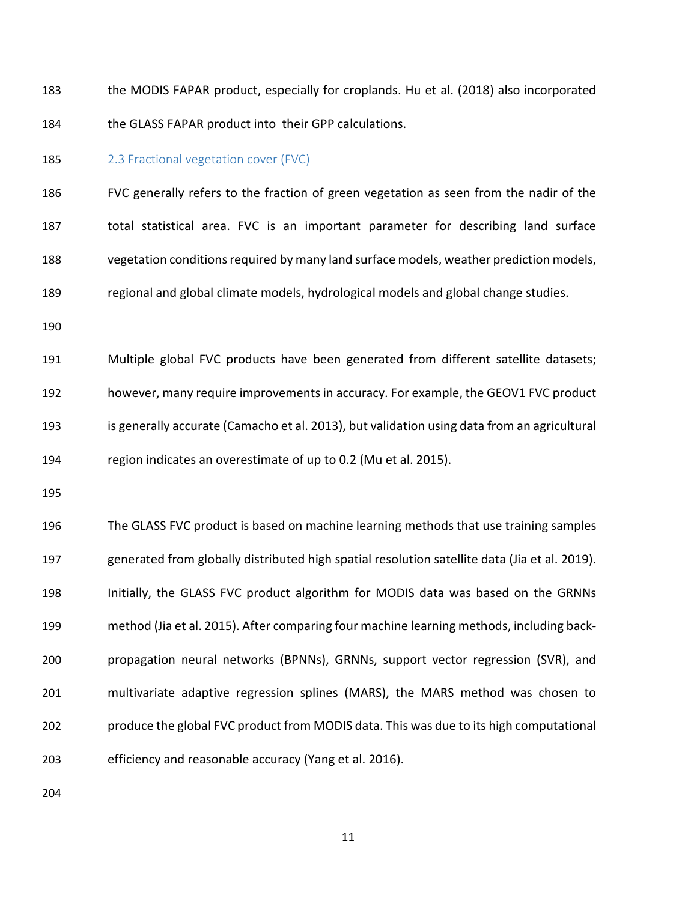the MODIS FAPAR product, especially for croplands. Hu et al. (2018) also incorporated the GLASS FAPAR product into their GPP calculations.

#### 185 2.3 Fractional vegetation cover (FVC)

 FVC generally refers to the fraction of green vegetation as seen from the nadir of the total statistical area. FVC is an important parameter for describing land surface vegetation conditions required by many land surface models, weather prediction models, regional and global climate models, hydrological models and global change studies.

 Multiple global FVC products have been generated from different satellite datasets; however, many require improvements in accuracy. For example, the GEOV1 FVC product is generally accurate (Camacho et al. 2013), but validation using data from an agricultural region indicates an overestimate of up to 0.2 (Mu et al. 2015).

 The GLASS FVC product is based on machine learning methods that use training samples generated from globally distributed high spatial resolution satellite data (Jia et al. 2019). Initially, the GLASS FVC product algorithm for MODIS data was based on the GRNNs method (Jia et al. 2015). After comparing four machine learning methods, including back- propagation neural networks (BPNNs), GRNNs, support vector regression (SVR), and multivariate adaptive regression splines (MARS), the MARS method was chosen to produce the global FVC product from MODIS data. This was due to its high computational efficiency and reasonable accuracy (Yang et al. 2016).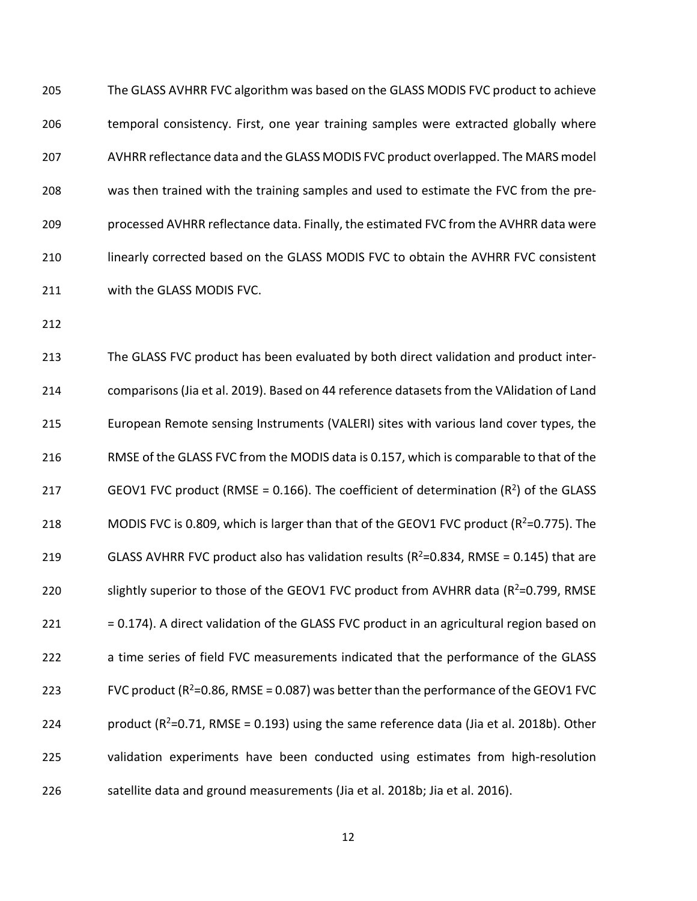The GLASS AVHRR FVC algorithm was based on the GLASS MODIS FVC product to achieve temporal consistency. First, one year training samples were extracted globally where AVHRR reflectance data and the GLASS MODIS FVC product overlapped. The MARS model was then trained with the training samples and used to estimate the FVC from the pre- processed AVHRR reflectance data. Finally, the estimated FVC from the AVHRR data were linearly corrected based on the GLASS MODIS FVC to obtain the AVHRR FVC consistent with the GLASS MODIS FVC.

 The GLASS FVC product has been evaluated by both direct validation and product inter- comparisons(Jia et al. 2019). Based on 44 reference datasetsfrom the VAlidation of Land European Remote sensing Instruments (VALERI) sites with various land cover types, the RMSE of the GLASS FVC from the MODIS data is 0.157, which is comparable to that of the 217 GEOV1 FVC product (RMSE = 0.166). The coefficient of determination ( $R^2$ ) of the GLASS 218 MODIS FVC is 0.809, which is larger than that of the GEOV1 FVC product ( $R^2$ =0.775). The 219 GLASS AVHRR FVC product also has validation results ( $R^2$ =0.834, RMSE = 0.145) that are 220 slightly superior to those of the GEOV1 FVC product from AVHRR data ( $R^2$ =0.799, RMSE 221 = 0.174). A direct validation of the GLASS FVC product in an agricultural region based on a time series of field FVC measurements indicated that the performance of the GLASS 223 FVC product  $(R^2=0.86, RMSE = 0.087)$  was better than the performance of the GEOV1 FVC 224 product  $(R^2=0.71, RMSE = 0.193)$  using the same reference data (Jia et al. 2018b). Other validation experiments have been conducted using estimates from high-resolution satellite data and ground measurements (Jia et al. 2018b; Jia et al. 2016).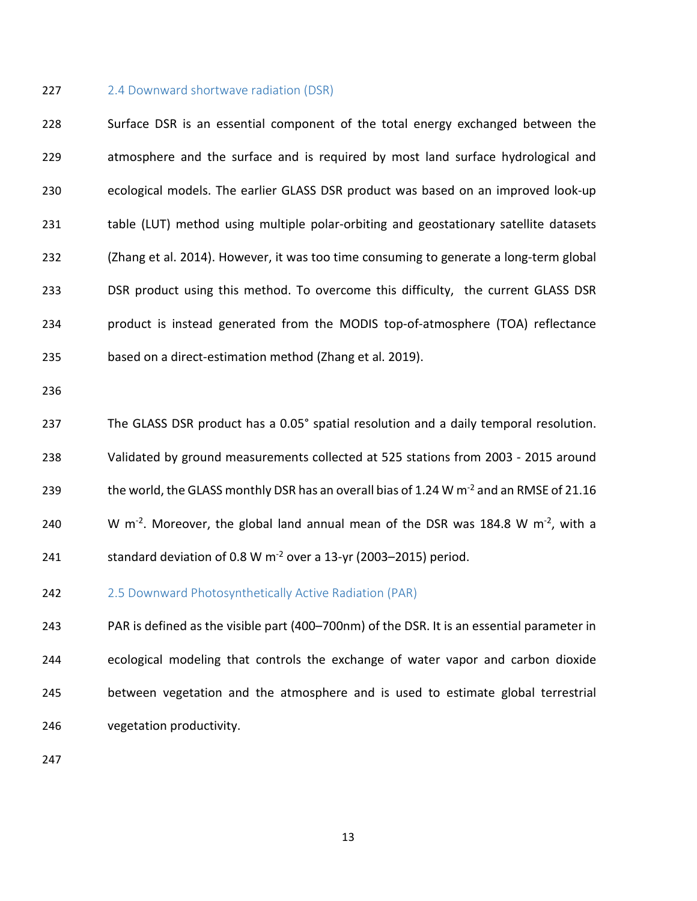#### 227 2.4 Downward shortwave radiation (DSR)

 Surface DSR is an essential component of the total energy exchanged between the atmosphere and the surface and is required by most land surface hydrological and ecological models. The earlier GLASS DSR product was based on an improved look-up table (LUT) method using multiple polar-orbiting and geostationary satellite datasets (Zhang et al. 2014). However, it was too time consuming to generate a long-term global DSR product using this method. To overcome this difficulty, the current GLASS DSR product is instead generated from the MODIS top-of-atmosphere (TOA) reflectance based on a direct-estimation method (Zhang et al. 2019).

 The GLASS DSR product has a 0.05° spatial resolution and a daily temporal resolution. Validated by ground measurements collected at 525 stations from 2003 - 2015 around 239 the world, the GLASS monthly DSR has an overall bias of 1.24 W  $\text{m}^2$  and an RMSE of 21.16 240 W m<sup>-2</sup>. Moreover, the global land annual mean of the DSR was 184.8 W m<sup>-2</sup>, with a 241 standard deviation of 0.8 W  $m^{-2}$  over a 13-yr (2003–2015) period.

242 2.5 Downward Photosynthetically Active Radiation (PAR)

 PAR is defined as the visible part (400–700nm) of the DSR. It is an essential parameter in ecological modeling that controls the exchange of water vapor and carbon dioxide between vegetation and the atmosphere and is used to estimate global terrestrial vegetation productivity.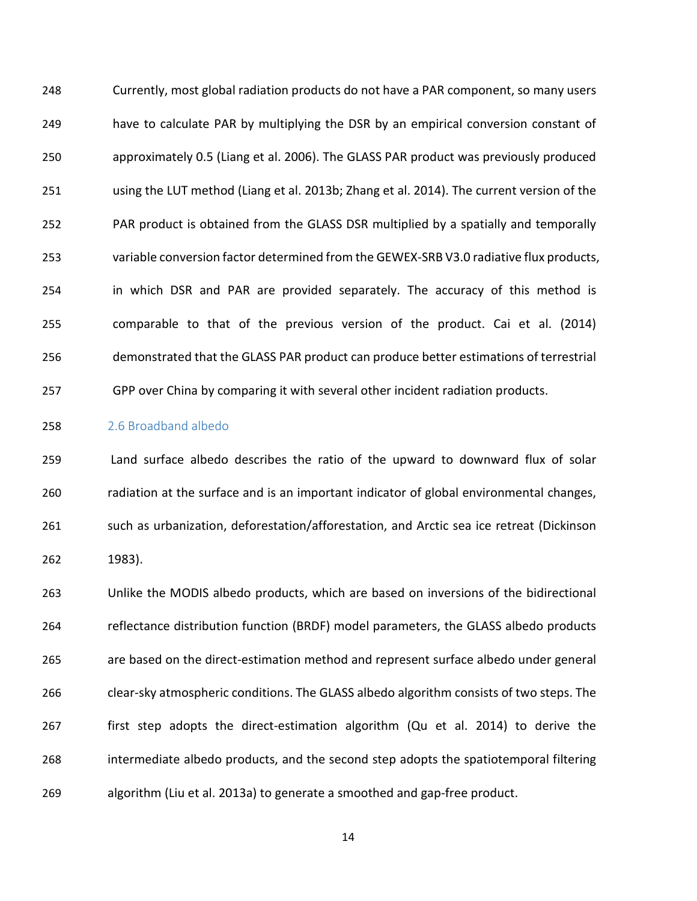Currently, most global radiation products do not have a PAR component, so many users have to calculate PAR by multiplying the DSR by an empirical conversion constant of approximately 0.5 (Liang et al. 2006). The GLASS PAR product was previously produced using the LUT method (Liang et al. 2013b; Zhang et al. 2014). The current version of the PAR product is obtained from the GLASS DSR multiplied by a spatially and temporally variable conversion factor determined from the GEWEX-SRB V3.0 radiative flux products, in which DSR and PAR are provided separately. The accuracy of this method is comparable to that of the previous version of the product. Cai et al. (2014) demonstrated that the GLASS PAR product can produce better estimations of terrestrial GPP over China by comparing it with several other incident radiation products.

# 2.6 Broadband albedo

 Land surface albedo describes the ratio of the upward to downward flux of solar radiation at the surface and is an important indicator of global environmental changes, such as urbanization, deforestation/afforestation, and Arctic sea ice retreat (Dickinson 1983).

 Unlike the MODIS albedo products, which are based on inversions of the bidirectional reflectance distribution function (BRDF) model parameters, the GLASS albedo products are based on the direct-estimation method and represent surface albedo under general clear-sky atmospheric conditions. The GLASS albedo algorithm consists of two steps. The first step adopts the direct-estimation algorithm (Qu et al. 2014) to derive the intermediate albedo products, and the second step adopts the spatiotemporal filtering algorithm (Liu et al. 2013a) to generate a smoothed and gap-free product.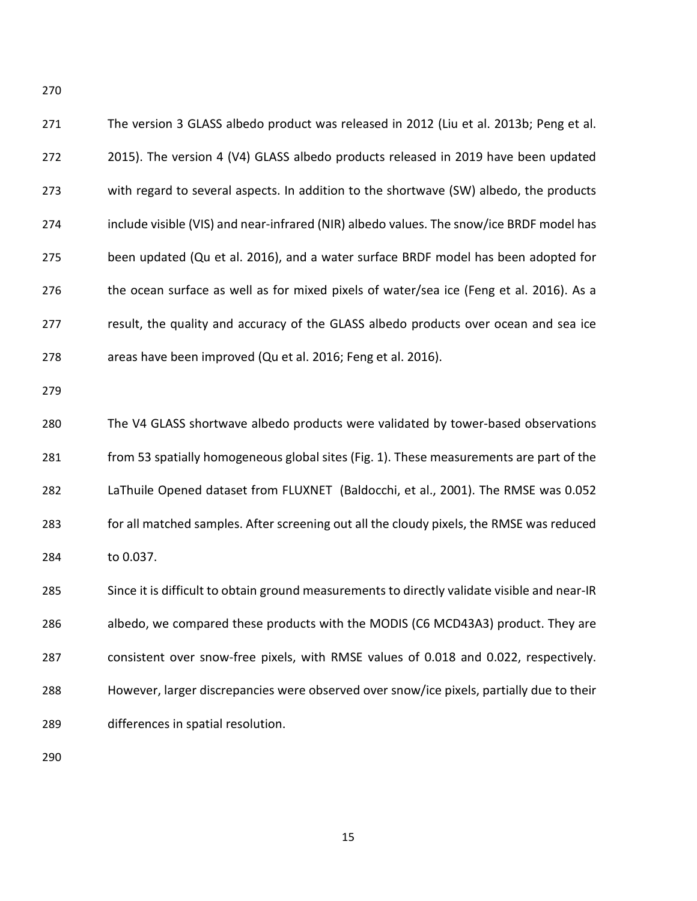| 271 | The version 3 GLASS albedo product was released in 2012 (Liu et al. 2013b; Peng et al.       |
|-----|----------------------------------------------------------------------------------------------|
| 272 | 2015). The version 4 (V4) GLASS albedo products released in 2019 have been updated           |
| 273 | with regard to several aspects. In addition to the shortwave (SW) albedo, the products       |
| 274 | include visible (VIS) and near-infrared (NIR) albedo values. The snow/ice BRDF model has     |
| 275 | been updated (Qu et al. 2016), and a water surface BRDF model has been adopted for           |
| 276 | the ocean surface as well as for mixed pixels of water/sea ice (Feng et al. 2016). As a      |
| 277 | result, the quality and accuracy of the GLASS albedo products over ocean and sea ice         |
| 278 | areas have been improved (Qu et al. 2016; Feng et al. 2016).                                 |
| 279 |                                                                                              |
| 280 | The V4 GLASS shortwave albedo products were validated by tower-based observations            |
| 281 | from 53 spatially homogeneous global sites (Fig. 1). These measurements are part of the      |
| 282 | LaThuile Opened dataset from FLUXNET (Baldocchi, et al., 2001). The RMSE was 0.052           |
| 283 | for all matched samples. After screening out all the cloudy pixels, the RMSE was reduced     |
| 284 | to 0.037.                                                                                    |
| 285 | Since it is difficult to obtain ground measurements to directly validate visible and near-IR |
| 286 | albedo, we compared these products with the MODIS (C6 MCD43A3) product. They are             |
| 287 | consistent over snow-free pixels, with RMSE values of 0.018 and 0.022, respectively.         |
| 288 | However, larger discrepancies were observed over snow/ice pixels, partially due to their     |
| 289 | differences in spatial resolution.                                                           |
| 290 |                                                                                              |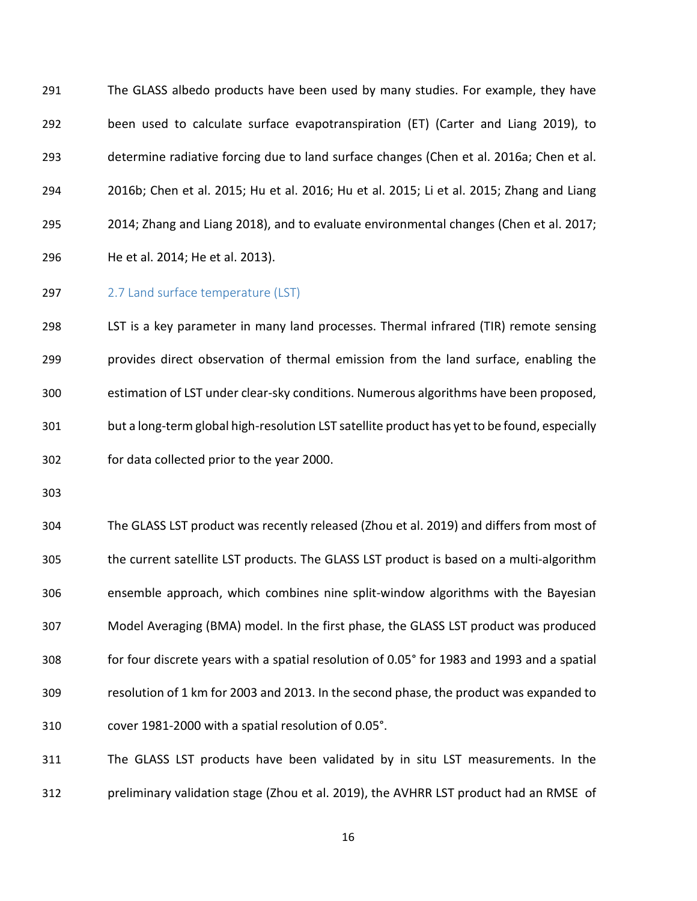The GLASS albedo products have been used by many studies. For example, they have been used to calculate surface evapotranspiration (ET) (Carter and Liang 2019), to determine radiative forcing due to land surface changes (Chen et al. 2016a; Chen et al. 2016b; Chen et al. 2015; Hu et al. 2016; Hu et al. 2015; Li et al. 2015; Zhang and Liang 2014; Zhang and Liang 2018), and to evaluate environmental changes (Chen et al. 2017; He et al. 2014; He et al. 2013).

297 2.7 Land surface temperature (LST)

 LST is a key parameter in many land processes. Thermal infrared (TIR) remote sensing provides direct observation of thermal emission from the land surface, enabling the estimation of LST under clear-sky conditions. Numerous algorithms have been proposed, but a long-term global high-resolution LST satellite product has yet to be found, especially for data collected prior to the year 2000.

 The GLASS LST product was recently released (Zhou et al. 2019) and differs from most of the current satellite LST products. The GLASS LST product is based on a multi-algorithm ensemble approach, which combines nine split-window algorithms with the Bayesian Model Averaging (BMA) model. In the first phase, the GLASS LST product was produced for four discrete years with a spatial resolution of 0.05° for 1983 and 1993 and a spatial resolution of 1 km for 2003 and 2013. In the second phase, the product was expanded to cover 1981-2000 with a spatial resolution of 0.05°.

 The GLASS LST products have been validated by in situ LST measurements. In the preliminary validation stage (Zhou et al. 2019), the AVHRR LST product had an RMSE of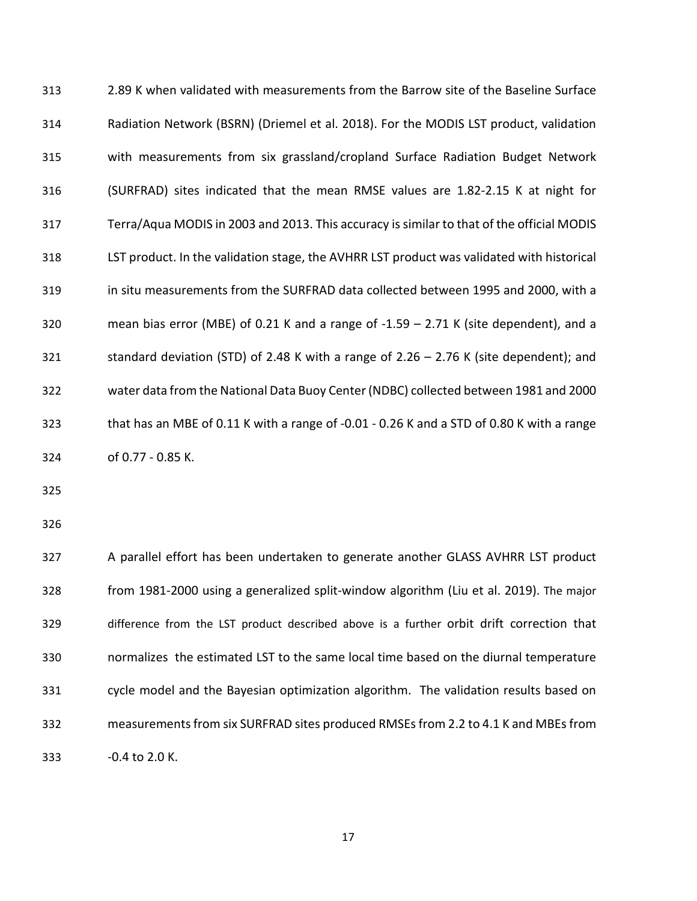2.89 K when validated with measurements from the Barrow site of the Baseline Surface Radiation Network (BSRN) (Driemel et al. 2018). For the MODIS LST product, validation with measurements from six grassland/cropland Surface Radiation Budget Network (SURFRAD) sites indicated that the mean RMSE values are 1.82-2.15 K at night for Terra/Aqua MODIS in 2003 and 2013. This accuracy is similar to that of the official MODIS LST product. In the validation stage, the AVHRR LST product was validated with historical in situ measurements from the SURFRAD data collected between 1995 and 2000, with a mean bias error (MBE) of 0.21 K and a range of -1.59 – 2.71 K (site dependent), and a standard deviation (STD) of 2.48 K with a range of 2.26 – 2.76 K (site dependent); and water data from the National Data Buoy Center (NDBC) collected between 1981 and 2000 that has an MBE of 0.11 K with a range of -0.01 - 0.26 K and a STD of 0.80 K with a range of 0.77 - 0.85 K.

 A parallel effort has been undertaken to generate another GLASS AVHRR LST product from 1981-2000 using a generalized split-window algorithm (Liu et al. 2019). The major difference from the LST product described above is a further orbit drift correction that normalizes the estimated LST to the same local time based on the diurnal temperature cycle model and the Bayesian optimization algorithm. The validation results based on measurements from six SURFRAD sites produced RMSEsfrom 2.2 to 4.1 K and MBEs from 333 -0.4 to 2.0 K.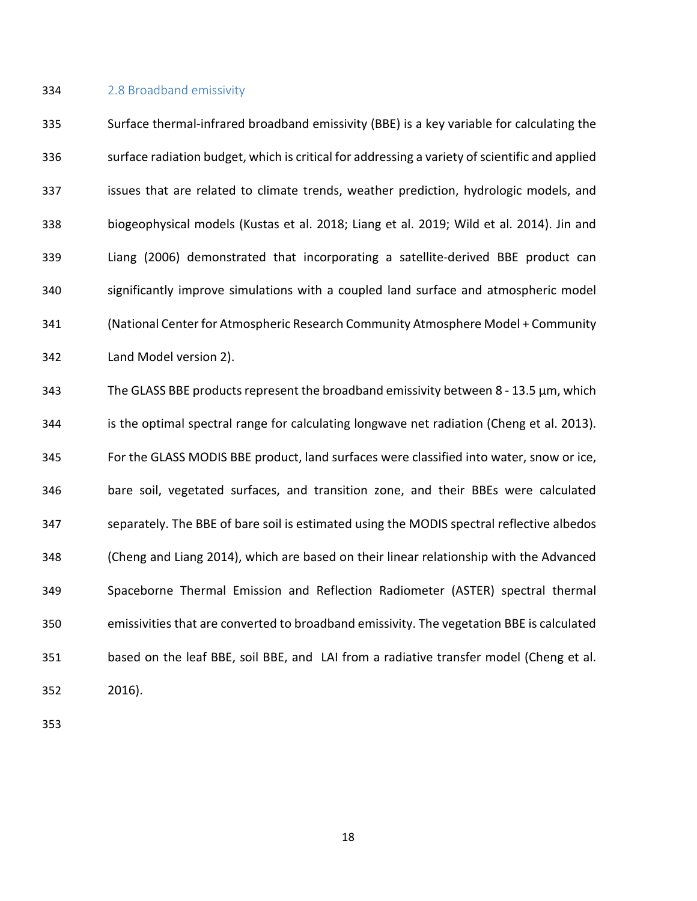#### 2.8 Broadband emissivity

 Surface thermal-infrared broadband emissivity (BBE) is a key variable for calculating the surface radiation budget, which is critical for addressing a variety of scientific and applied issues that are related to climate trends, weather prediction, hydrologic models, and biogeophysical models (Kustas et al. 2018; Liang et al. 2019; Wild et al. 2014). Jin and Liang (2006) demonstrated that incorporating a satellite-derived BBE product can significantly improve simulations with a coupled land surface and atmospheric model (National Center for Atmospheric Research Community Atmosphere Model + Community Land Model version 2).

 The GLASS BBE products represent the broadband emissivity between 8 - 13.5 µm, which is the optimal spectral range for calculating longwave net radiation (Cheng et al. 2013). For the GLASS MODIS BBE product, land surfaces were classified into water, snow or ice, bare soil, vegetated surfaces, and transition zone, and their BBEs were calculated separately. The BBE of bare soil is estimated using the MODIS spectral reflective albedos (Cheng and Liang 2014), which are based on their linear relationship with the Advanced Spaceborne Thermal Emission and Reflection Radiometer (ASTER) spectral thermal emissivities that are converted to broadband emissivity. The vegetation BBE is calculated based on the leaf BBE, soil BBE, and LAI from a radiative transfer model (Cheng et al. 2016).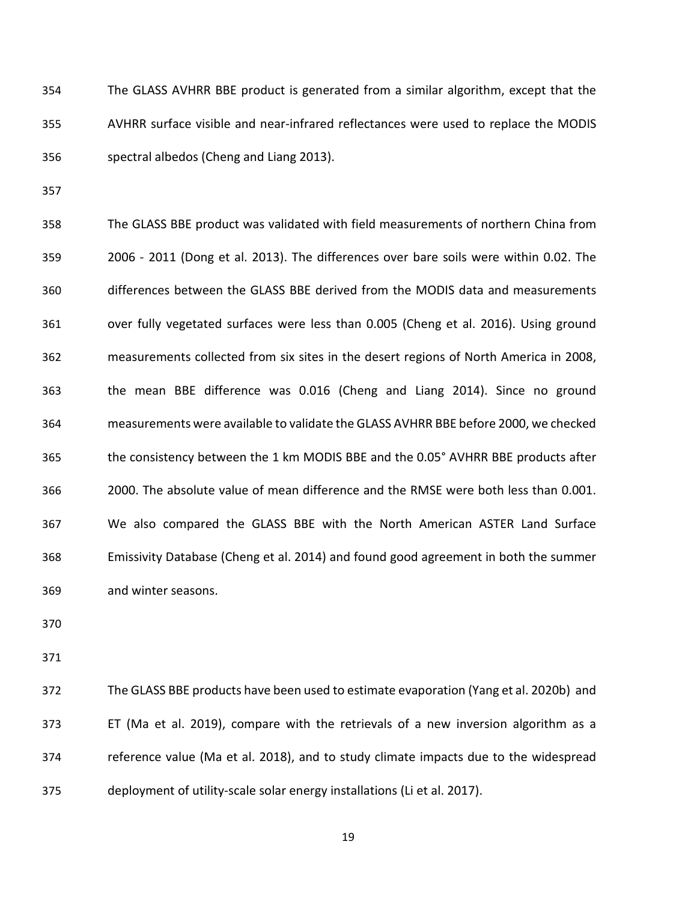The GLASS AVHRR BBE product is generated from a similar algorithm, except that the AVHRR surface visible and near-infrared reflectances were used to replace the MODIS spectral albedos (Cheng and Liang 2013).

 The GLASS BBE product was validated with field measurements of northern China from 2006 - 2011 (Dong et al. 2013). The differences over bare soils were within 0.02. The differences between the GLASS BBE derived from the MODIS data and measurements over fully vegetated surfaces were less than 0.005 (Cheng et al. 2016). Using ground measurements collected from six sites in the desert regions of North America in 2008, the mean BBE difference was 0.016 (Cheng and Liang 2014). Since no ground measurements were available to validate the GLASS AVHRR BBE before 2000, we checked the consistency between the 1 km MODIS BBE and the 0.05° AVHRR BBE products after 2000. The absolute value of mean difference and the RMSE were both less than 0.001. We also compared the GLASS BBE with the North American ASTER Land Surface Emissivity Database (Cheng et al. 2014) and found good agreement in both the summer and winter seasons.

 The GLASS BBE products have been used to estimate evaporation (Yang et al. 2020b) and ET (Ma et al. 2019), compare with the retrievals of a new inversion algorithm as a reference value (Ma et al. 2018), and to study climate impacts due to the widespread deployment of utility-scale solar energy installations (Li et al. 2017).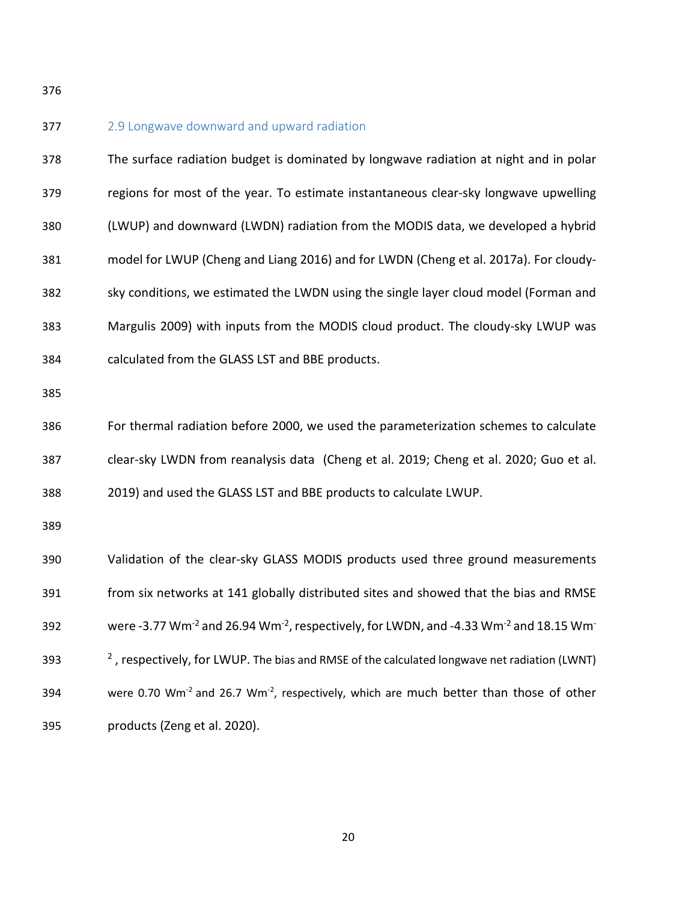377 2.9 Longwave downward and upward radiation The surface radiation budget is dominated by longwave radiation at night and in polar regions for most of the year. To estimate instantaneous clear-sky longwave upwelling (LWUP) and downward (LWDN) radiation from the MODIS data, we developed a hybrid model for LWUP (Cheng and Liang 2016) and for LWDN (Cheng et al. 2017a). For cloudy- sky conditions, we estimated the LWDN using the single layer cloud model (Forman and Margulis 2009) with inputs from the MODIS cloud product. The cloudy-sky LWUP was calculated from the GLASS LST and BBE products. For thermal radiation before 2000, we used the parameterization schemes to calculate clear-sky LWDN from reanalysis data (Cheng et al. 2019; Cheng et al. 2020; Guo et al. 2019) and used the GLASS LST and BBE products to calculate LWUP. Validation of the clear-sky GLASS MODIS products used three ground measurements from six networks at 141 globally distributed sites and showed that the bias and RMSE 392 were -3.77 Wm<sup>-2</sup> and 26.94 Wm<sup>-2</sup>, respectively, for LWDN, and -4.33 Wm<sup>-2</sup> and 18.15 Wm<sup>-</sup>  $\frac{2}{1}$ , respectively, for LWUP. The bias and RMSE of the calculated longwave net radiation (LWNT) 394 were 0.70 Wm<sup>-2</sup> and 26.7 Wm<sup>-2</sup>, respectively, which are much better than those of other products (Zeng et al. 2020).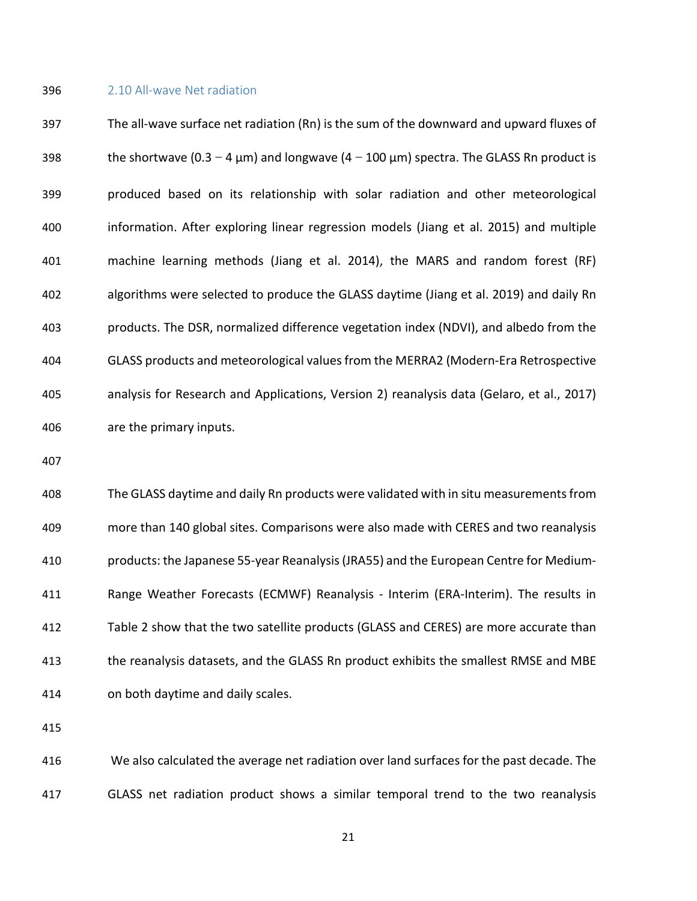#### 2.10 All-wave Net radiation

 The all-wave surface net radiation (Rn) is the sum of the downward and upward fluxes of 398 the shortwave  $(0.3-4 \mu m)$  and longwave  $(4-100 \mu m)$  spectra. The GLASS Rn product is produced based on its relationship with solar radiation and other meteorological information. After exploring linear regression models (Jiang et al. 2015) and multiple machine learning methods (Jiang et al. 2014), the MARS and random forest (RF) algorithms were selected to produce the GLASS daytime (Jiang et al. 2019) and daily Rn products. The DSR, normalized difference vegetation index (NDVI), and albedo from the GLASS products and meteorological values from the MERRA2 (Modern-Era Retrospective analysis for Research and Applications, Version 2) reanalysis data (Gelaro, et al., 2017) are the primary inputs.

 The GLASS daytime and daily Rn products were validated with in situ measurements from more than 140 global sites. Comparisons were also made with CERES and two reanalysis products: the Japanese 55-year Reanalysis(JRA55) and the European Centre for Medium- Range Weather Forecasts (ECMWF) Reanalysis - Interim (ERA-Interim). The results in Table 2 show that the two satellite products (GLASS and CERES) are more accurate than the reanalysis datasets, and the GLASS Rn product exhibits the smallest RMSE and MBE on both daytime and daily scales.

 We also calculated the average net radiation over land surfaces for the past decade. The GLASS net radiation product shows a similar temporal trend to the two reanalysis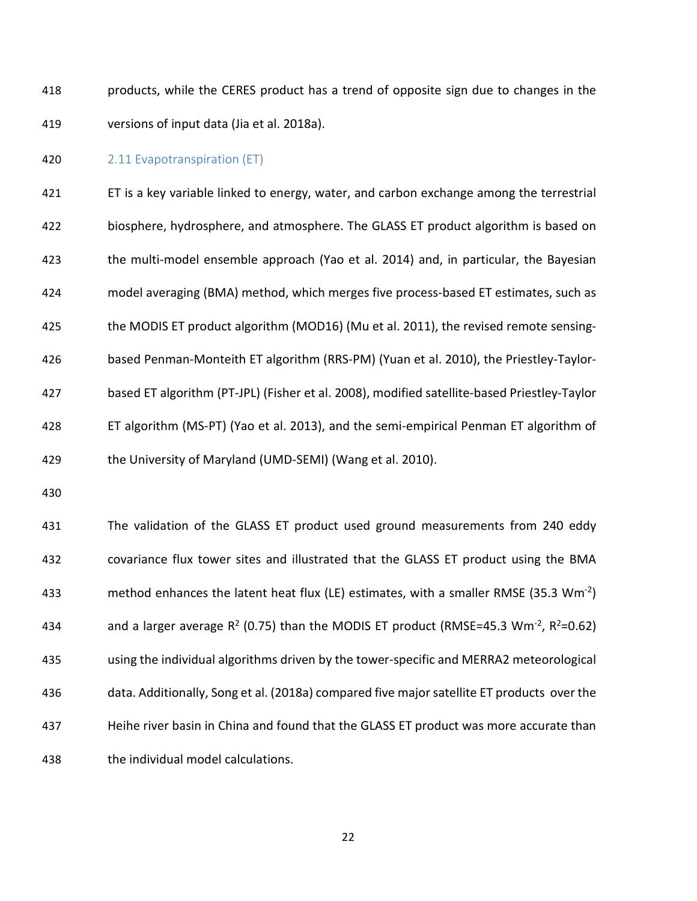products, while the CERES product has a trend of opposite sign due to changes in the versions of input data (Jia et al. 2018a).

#### 2.11 Evapotranspiration (ET)

 ET is a key variable linked to energy, water, and carbon exchange among the terrestrial biosphere, hydrosphere, and atmosphere. The GLASS ET product algorithm is based on the multi-model ensemble approach (Yao et al. 2014) and, in particular, the Bayesian model averaging (BMA) method, which merges five process-based ET estimates, such as the MODIS ET product algorithm (MOD16) (Mu et al. 2011), the revised remote sensing- based Penman-Monteith ET algorithm (RRS-PM) (Yuan et al. 2010), the Priestley-Taylor- based ET algorithm (PT-JPL) (Fisher et al. 2008), modified satellite-based Priestley-Taylor ET algorithm (MS-PT) (Yao et al. 2013), and the semi-empirical Penman ET algorithm of the University of Maryland (UMD-SEMI) (Wang et al. 2010).

 The validation of the GLASS ET product used ground measurements from 240 eddy covariance flux tower sites and illustrated that the GLASS ET product using the BMA 433 method enhances the latent heat flux (LE) estimates, with a smaller RMSE (35.3 Wm<sup>-2</sup>) 434 and a larger average  $R^2$  (0.75) than the MODIS ET product (RMSE=45.3 Wm<sup>-2</sup>,  $R^2$ =0.62) using the individual algorithms driven by the tower-specific and MERRA2 meteorological data. Additionally, Song et al. (2018a) compared five major satellite ET products over the Heihe river basin in China and found that the GLASS ET product was more accurate than the individual model calculations.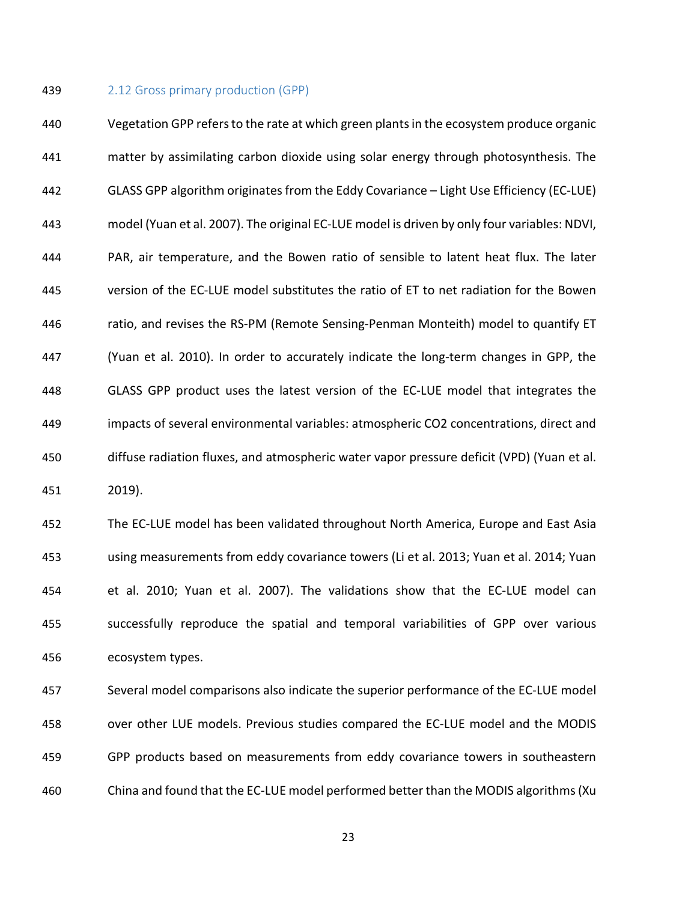#### 2.12 Gross primary production (GPP)

 Vegetation GPP refers to the rate at which green plants in the ecosystem produce organic matter by assimilating carbon dioxide using solar energy through photosynthesis. The GLASS GPP algorithm originates from the Eddy Covariance – Light Use Efficiency (EC-LUE) model (Yuan et al. 2007). The original EC-LUE model is driven by only four variables: NDVI, PAR, air temperature, and the Bowen ratio of sensible to latent heat flux. The later version of the EC-LUE model substitutes the ratio of ET to net radiation for the Bowen ratio, and revises the RS-PM (Remote Sensing-Penman Monteith) model to quantify ET (Yuan et al. 2010). In order to accurately indicate the long-term changes in GPP, the GLASS GPP product uses the latest version of the EC-LUE model that integrates the impacts of several environmental variables: atmospheric CO2 concentrations, direct and diffuse radiation fluxes, and atmospheric water vapor pressure deficit (VPD) (Yuan et al. 2019).

 The EC-LUE model has been validated throughout North America, Europe and East Asia using measurements from eddy covariance towers (Li et al. 2013; Yuan et al. 2014; Yuan et al. 2010; Yuan et al. 2007). The validations show that the EC-LUE model can successfully reproduce the spatial and temporal variabilities of GPP over various ecosystem types.

 Several model comparisons also indicate the superior performance of the EC-LUE model over other LUE models. Previous studies compared the EC-LUE model and the MODIS GPP products based on measurements from eddy covariance towers in southeastern China and found that the EC-LUE model performed better than the MODIS algorithms (Xu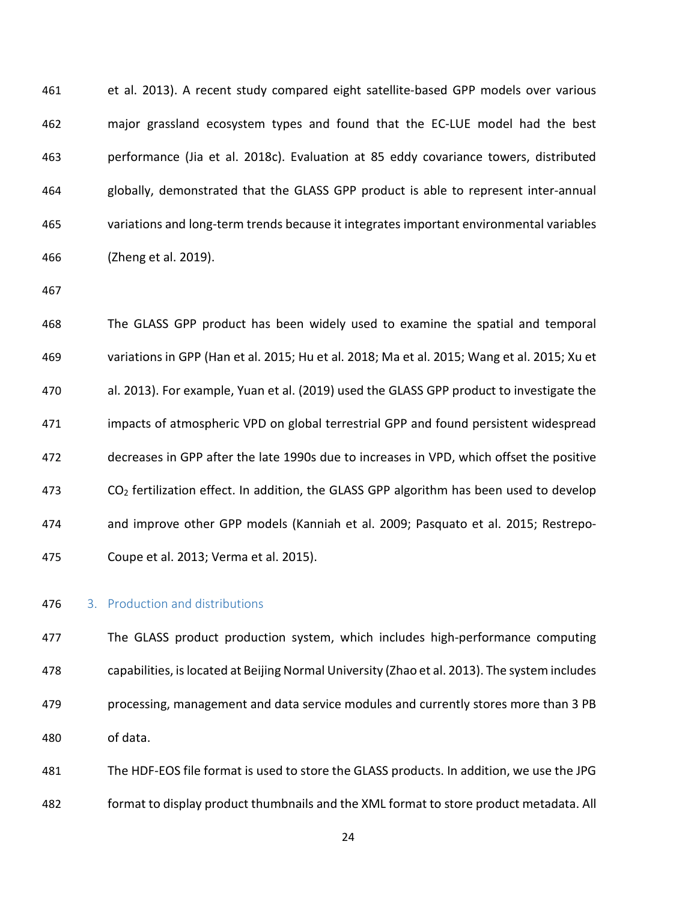et al. 2013). A recent study compared eight satellite-based GPP models over various major grassland ecosystem types and found that the EC-LUE model had the best performance (Jia et al. 2018c). Evaluation at 85 eddy covariance towers, distributed globally, demonstrated that the GLASS GPP product is able to represent inter-annual variations and long-term trends because it integrates important environmental variables (Zheng et al. 2019).

 The GLASS GPP product has been widely used to examine the spatial and temporal variations in GPP (Han et al. 2015; Hu et al. 2018; Ma et al. 2015; Wang et al. 2015; Xu et al. 2013). For example, Yuan et al. (2019) used the GLASS GPP product to investigate the impacts of atmospheric VPD on global terrestrial GPP and found persistent widespread decreases in GPP after the late 1990s due to increases in VPD, which offset the positive CO2 fertilization effect. In addition, the GLASS GPP algorithm has been used to develop and improve other GPP models (Kanniah et al. 2009; Pasquato et al. 2015; Restrepo-Coupe et al. 2013; Verma et al. 2015).

# 3. Production and distributions

 The GLASS product production system, which includes high-performance computing capabilities, is located at Beijing Normal University (Zhao et al. 2013). The system includes processing, management and data service modules and currently stores more than 3 PB of data.

 The HDF-EOS file format is used to store the GLASS products. In addition, we use the JPG format to display product thumbnails and the XML format to store product metadata. All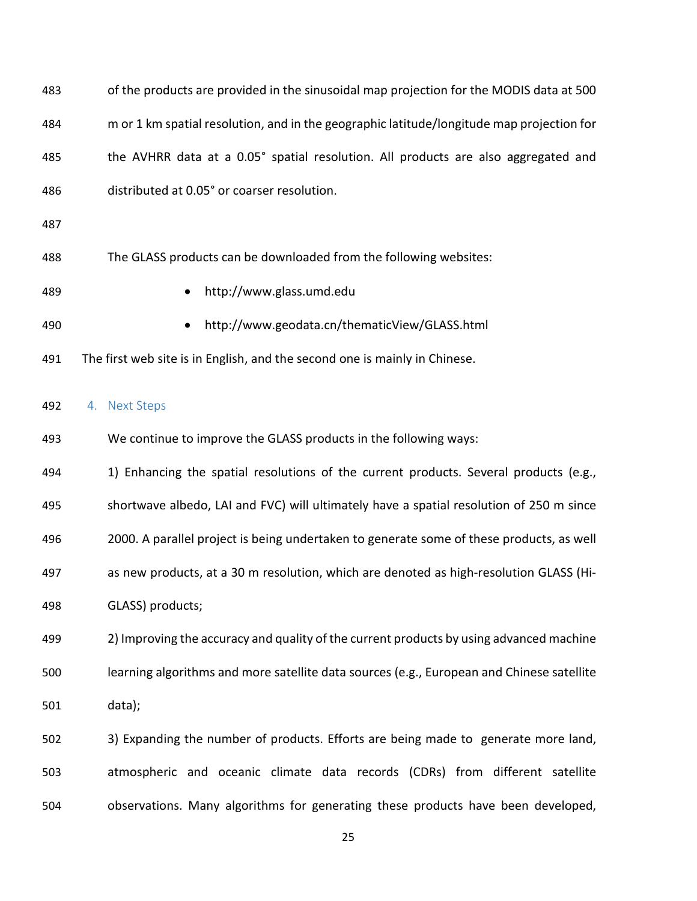| 483 | of the products are provided in the sinusoidal map projection for the MODIS data at 500   |
|-----|-------------------------------------------------------------------------------------------|
| 484 | m or 1 km spatial resolution, and in the geographic latitude/longitude map projection for |
| 485 | the AVHRR data at a 0.05° spatial resolution. All products are also aggregated and        |
| 486 | distributed at 0.05° or coarser resolution.                                               |
| 487 |                                                                                           |
| 488 | The GLASS products can be downloaded from the following websites:                         |
| 489 | http://www.glass.umd.edu                                                                  |
| 490 | http://www.geodata.cn/thematicView/GLASS.html                                             |
| 491 | The first web site is in English, and the second one is mainly in Chinese.                |
| 492 | 4. Next Steps                                                                             |
| 493 | We continue to improve the GLASS products in the following ways:                          |
| 494 | 1) Enhancing the spatial resolutions of the current products. Several products (e.g.,     |
| 495 | shortwave albedo, LAI and FVC) will ultimately have a spatial resolution of 250 m since   |
| 496 | 2000. A parallel project is being undertaken to generate some of these products, as well  |
| 497 | as new products, at a 30 m resolution, which are denoted as high-resolution GLASS (Hi-    |
| 498 | GLASS) products;                                                                          |
| 499 | 2) Improving the accuracy and quality of the current products by using advanced machine   |
| 500 | learning algorithms and more satellite data sources (e.g., European and Chinese satellite |
| 501 | data);                                                                                    |
| 502 | 3) Expanding the number of products. Efforts are being made to generate more land,        |
| 503 | atmospheric and oceanic climate data records (CDRs) from different satellite              |

observations. Many algorithms for generating these products have been developed,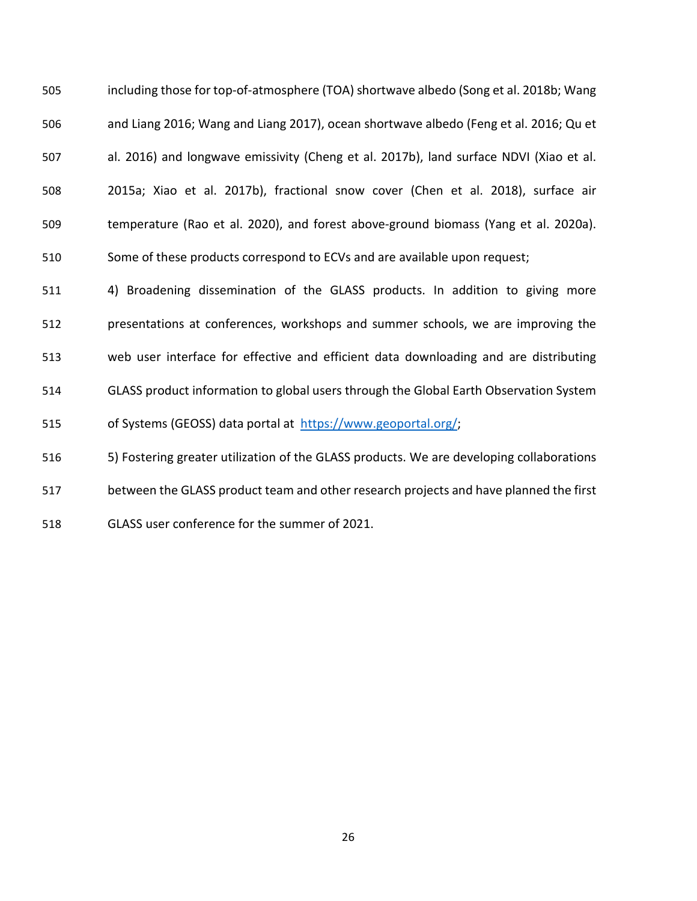including those for top-of-atmosphere (TOA) shortwave albedo (Song et al. 2018b; Wang and Liang 2016; Wang and Liang 2017), ocean shortwave albedo (Feng et al. 2016; Qu et al. 2016) and longwave emissivity (Cheng et al. 2017b), land surface NDVI (Xiao et al. 2015a; Xiao et al. 2017b), fractional snow cover (Chen et al. 2018), surface air temperature (Rao et al. 2020), and forest above-ground biomass (Yang et al. 2020a). Some of these products correspond to ECVs and are available upon request;

 4) Broadening dissemination of the GLASS products. In addition to giving more presentations at conferences, workshops and summer schools, we are improving the web user interface for effective and efficient data downloading and are distributing GLASS product information to global users through the Global Earth Observation System 515 of Systems (GEOSS) data portal at [https://www.geoportal.org/;](https://www.geoportal.org/)

5) Fostering greater utilization of the GLASS products. We are developing collaborations

between the GLASS product team and other research projects and have planned the first

GLASS user conference for the summer of 2021.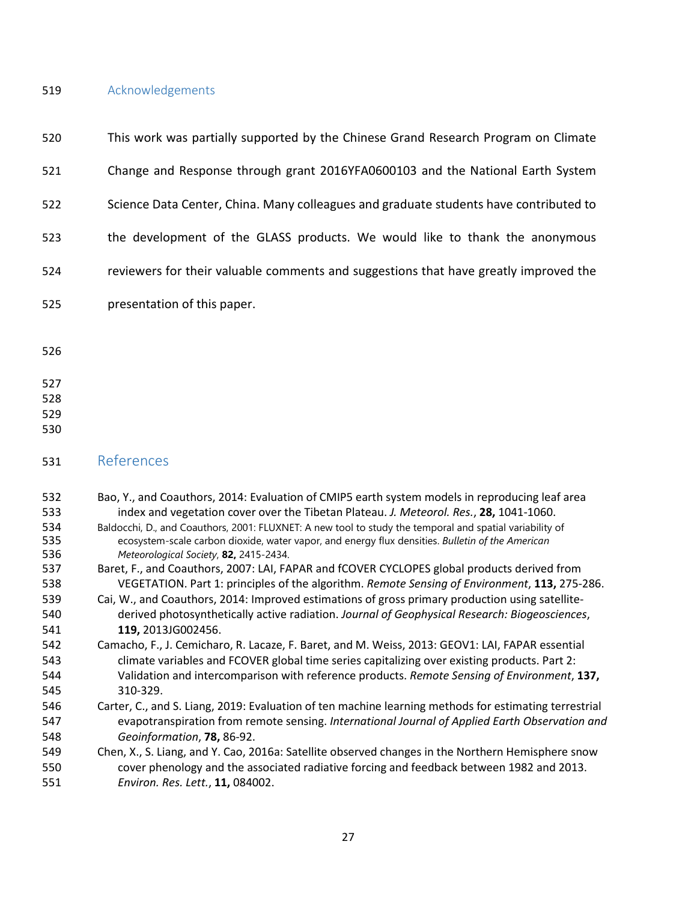# Acknowledgements

| 520                                                                                                   | This work was partially supported by the Chinese Grand Research Program on Climate                                                                                                                                                                                                                                                                                                                                                                                                                                                                                                                                                                                                                                                                                                                                                                                                                                                                                                                                                                                                                                                                                                                                                                                                                  |
|-------------------------------------------------------------------------------------------------------|-----------------------------------------------------------------------------------------------------------------------------------------------------------------------------------------------------------------------------------------------------------------------------------------------------------------------------------------------------------------------------------------------------------------------------------------------------------------------------------------------------------------------------------------------------------------------------------------------------------------------------------------------------------------------------------------------------------------------------------------------------------------------------------------------------------------------------------------------------------------------------------------------------------------------------------------------------------------------------------------------------------------------------------------------------------------------------------------------------------------------------------------------------------------------------------------------------------------------------------------------------------------------------------------------------|
| 521                                                                                                   | Change and Response through grant 2016YFA0600103 and the National Earth System                                                                                                                                                                                                                                                                                                                                                                                                                                                                                                                                                                                                                                                                                                                                                                                                                                                                                                                                                                                                                                                                                                                                                                                                                      |
| 522                                                                                                   | Science Data Center, China. Many colleagues and graduate students have contributed to                                                                                                                                                                                                                                                                                                                                                                                                                                                                                                                                                                                                                                                                                                                                                                                                                                                                                                                                                                                                                                                                                                                                                                                                               |
| 523                                                                                                   | the development of the GLASS products. We would like to thank the anonymous                                                                                                                                                                                                                                                                                                                                                                                                                                                                                                                                                                                                                                                                                                                                                                                                                                                                                                                                                                                                                                                                                                                                                                                                                         |
| 524                                                                                                   | reviewers for their valuable comments and suggestions that have greatly improved the                                                                                                                                                                                                                                                                                                                                                                                                                                                                                                                                                                                                                                                                                                                                                                                                                                                                                                                                                                                                                                                                                                                                                                                                                |
| 525                                                                                                   | presentation of this paper.                                                                                                                                                                                                                                                                                                                                                                                                                                                                                                                                                                                                                                                                                                                                                                                                                                                                                                                                                                                                                                                                                                                                                                                                                                                                         |
| 526                                                                                                   |                                                                                                                                                                                                                                                                                                                                                                                                                                                                                                                                                                                                                                                                                                                                                                                                                                                                                                                                                                                                                                                                                                                                                                                                                                                                                                     |
| 527<br>528<br>529<br>530                                                                              |                                                                                                                                                                                                                                                                                                                                                                                                                                                                                                                                                                                                                                                                                                                                                                                                                                                                                                                                                                                                                                                                                                                                                                                                                                                                                                     |
| 531                                                                                                   | References                                                                                                                                                                                                                                                                                                                                                                                                                                                                                                                                                                                                                                                                                                                                                                                                                                                                                                                                                                                                                                                                                                                                                                                                                                                                                          |
| 532<br>533<br>534<br>535<br>536<br>537<br>538<br>539<br>540<br>541<br>542<br>543<br>544<br>545<br>546 | Bao, Y., and Coauthors, 2014: Evaluation of CMIP5 earth system models in reproducing leaf area<br>index and vegetation cover over the Tibetan Plateau. J. Meteorol. Res., 28, 1041-1060.<br>Baldocchi, D., and Coauthors, 2001: FLUXNET: A new tool to study the temporal and spatial variability of<br>ecosystem-scale carbon dioxide, water vapor, and energy flux densities. Bulletin of the American<br>Meteorological Society, 82, 2415-2434.<br>Baret, F., and Coauthors, 2007: LAI, FAPAR and fCOVER CYCLOPES global products derived from<br>VEGETATION. Part 1: principles of the algorithm. Remote Sensing of Environment, 113, 275-286.<br>Cai, W., and Coauthors, 2014: Improved estimations of gross primary production using satellite-<br>derived photosynthetically active radiation. Journal of Geophysical Research: Biogeosciences,<br>119, 2013JG002456.<br>Camacho, F., J. Cemicharo, R. Lacaze, F. Baret, and M. Weiss, 2013: GEOV1: LAI, FAPAR essential<br>climate variables and FCOVER global time series capitalizing over existing products. Part 2:<br>Validation and intercomparison with reference products. Remote Sensing of Environment, 137,<br>310-329.<br>Carter, C., and S. Liang, 2019: Evaluation of ten machine learning methods for estimating terrestrial |
| 547<br>548<br>549<br>550<br>551                                                                       | evapotranspiration from remote sensing. International Journal of Applied Earth Observation and<br>Geoinformation, 78, 86-92.<br>Chen, X., S. Liang, and Y. Cao, 2016a: Satellite observed changes in the Northern Hemisphere snow<br>cover phenology and the associated radiative forcing and feedback between 1982 and 2013.<br>Environ. Res. Lett., 11, 084002.                                                                                                                                                                                                                                                                                                                                                                                                                                                                                                                                                                                                                                                                                                                                                                                                                                                                                                                                   |
|                                                                                                       |                                                                                                                                                                                                                                                                                                                                                                                                                                                                                                                                                                                                                                                                                                                                                                                                                                                                                                                                                                                                                                                                                                                                                                                                                                                                                                     |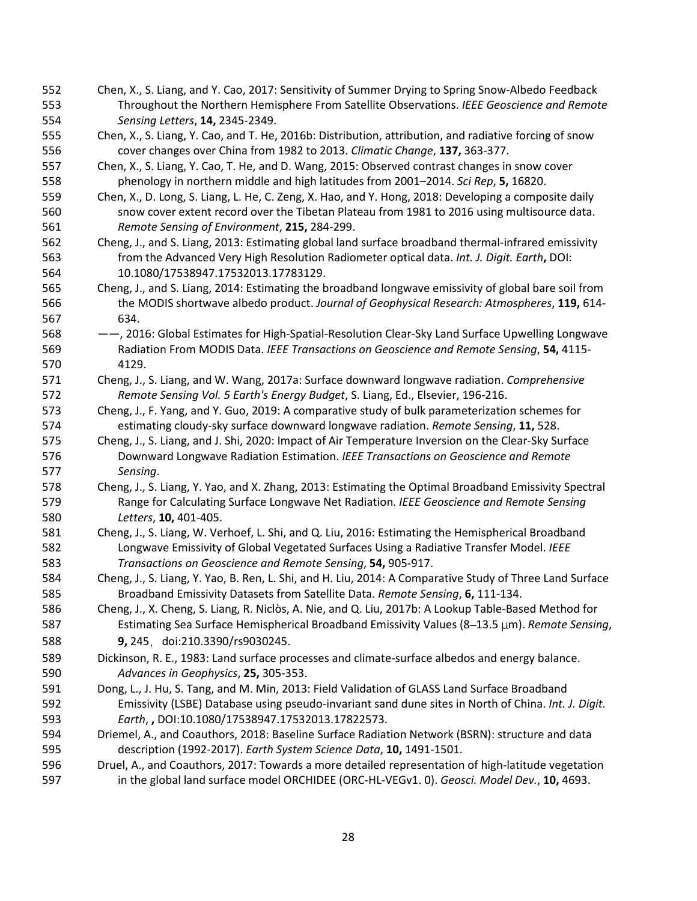- Chen, X., S. Liang, and Y. Cao, 2017: Sensitivity of Summer Drying to Spring Snow-Albedo Feedback Throughout the Northern Hemisphere From Satellite Observations. *IEEE Geoscience and Remote Sensing Letters*, **14,** 2345-2349.
- Chen, X., S. Liang, Y. Cao, and T. He, 2016b: Distribution, attribution, and radiative forcing of snow cover changes over China from 1982 to 2013. *Climatic Change*, **137,** 363-377.
- Chen, X., S. Liang, Y. Cao, T. He, and D. Wang, 2015: Observed contrast changes in snow cover phenology in northern middle and high latitudes from 2001–2014. *Sci Rep*, **5,** 16820.
- Chen, X., D. Long, S. Liang, L. He, C. Zeng, X. Hao, and Y. Hong, 2018: Developing a composite daily snow cover extent record over the Tibetan Plateau from 1981 to 2016 using multisource data. *Remote Sensing of Environment*, **215,** 284-299.
- Cheng, J., and S. Liang, 2013: Estimating global land surface broadband thermal-infrared emissivity from the Advanced Very High Resolution Radiometer optical data. *Int. J. Digit. Earth***,** DOI: 10.1080/17538947.17532013.17783129.
- Cheng, J., and S. Liang, 2014: Estimating the broadband longwave emissivity of global bare soil from the MODIS shortwave albedo product. *Journal of Geophysical Research: Atmospheres*, **119,** 614- 634.
- ——, 2016: Global Estimates for High-Spatial-Resolution Clear-Sky Land Surface Upwelling Longwave Radiation From MODIS Data. *IEEE Transactions on Geoscience and Remote Sensing*, **54,** 4115- 4129.
- Cheng, J., S. Liang, and W. Wang, 2017a: Surface downward longwave radiation. *Comprehensive Remote Sensing Vol. 5 Earth's Energy Budget*, S. Liang, Ed., Elsevier, 196-216.
- Cheng, J., F. Yang, and Y. Guo, 2019: A comparative study of bulk parameterization schemes for estimating cloudy-sky surface downward longwave radiation. *Remote Sensing*, **11,** 528.
- Cheng, J., S. Liang, and J. Shi, 2020: Impact of Air Temperature Inversion on the Clear-Sky Surface Downward Longwave Radiation Estimation. *IEEE Transactions on Geoscience and Remote Sensing*.
- Cheng, J., S. Liang, Y. Yao, and X. Zhang, 2013: Estimating the Optimal Broadband Emissivity Spectral Range for Calculating Surface Longwave Net Radiation. *IEEE Geoscience and Remote Sensing Letters*, **10,** 401-405.
- Cheng, J., S. Liang, W. Verhoef, L. Shi, and Q. Liu, 2016: Estimating the Hemispherical Broadband Longwave Emissivity of Global Vegetated Surfaces Using a Radiative Transfer Model. *IEEE Transactions on Geoscience and Remote Sensing*, **54,** 905-917.
- Cheng, J., S. Liang, Y. Yao, B. Ren, L. Shi, and H. Liu, 2014: A Comparative Study of Three Land Surface Broadband Emissivity Datasets from Satellite Data. *Remote Sensing*, **6,** 111-134.
- Cheng, J., X. Cheng, S. Liang, R. Niclòs, A. Nie, and Q. Liu, 2017b: A Lookup Table-Based Method for Estimating Sea Surface Hemispherical Broadband Emissivity Values (8–13.5 μm). *Remote Sensing*, **9,** 245,doi:210.3390/rs9030245.
- Dickinson, R. E., 1983: Land surface processes and climate-surface albedos and energy balance. *Advances in Geophysics*, **25,** 305-353.
- Dong, L., J. Hu, S. Tang, and M. Min, 2013: Field Validation of GLASS Land Surface Broadband Emissivity (LSBE) Database using pseudo-invariant sand dune sites in North of China. *Int. J. Digit. Earth*, **,** DOI:10.1080/17538947.17532013.17822573.
- Driemel, A., and Coauthors, 2018: Baseline Surface Radiation Network (BSRN): structure and data description (1992-2017). *Earth System Science Data*, **10,** 1491-1501.
- Druel, A., and Coauthors, 2017: Towards a more detailed representation of high-latitude vegetation in the global land surface model ORCHIDEE (ORC-HL-VEGv1. 0). *Geosci. Model Dev.*, **10,** 4693.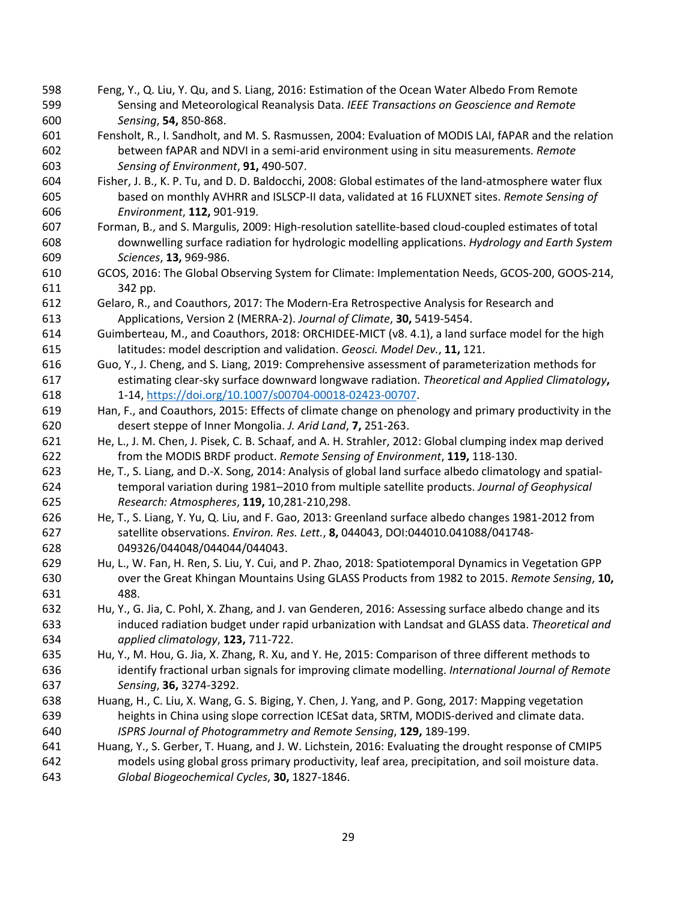- Feng, Y., Q. Liu, Y. Qu, and S. Liang, 2016: Estimation of the Ocean Water Albedo From Remote Sensing and Meteorological Reanalysis Data. *IEEE Transactions on Geoscience and Remote Sensing*, **54,** 850-868.
- Fensholt, R., I. Sandholt, and M. S. Rasmussen, 2004: Evaluation of MODIS LAI, fAPAR and the relation between fAPAR and NDVI in a semi-arid environment using in situ measurements. *Remote Sensing of Environment*, **91,** 490-507.
- Fisher, J. B., K. P. Tu, and D. D. Baldocchi, 2008: Global estimates of the land-atmosphere water flux based on monthly AVHRR and ISLSCP-II data, validated at 16 FLUXNET sites. *Remote Sensing of Environment*, **112,** 901-919.
- Forman, B., and S. Margulis, 2009: High-resolution satellite-based cloud-coupled estimates of total downwelling surface radiation for hydrologic modelling applications. *Hydrology and Earth System Sciences*, **13,** 969-986.
- GCOS, 2016: The Global Observing System for Climate: Implementation Needs, GCOS-200, GOOS-214, 342 pp.
- Gelaro, R., and Coauthors, 2017: The Modern-Era Retrospective Analysis for Research and Applications, Version 2 (MERRA-2). *Journal of Climate*, **30,** 5419-5454.
- Guimberteau, M., and Coauthors, 2018: ORCHIDEE-MICT (v8. 4.1), a land surface model for the high latitudes: model description and validation. *Geosci. Model Dev.*, **11,** 121.
- Guo, Y., J. Cheng, and S. Liang, 2019: Comprehensive assessment of parameterization methods for estimating clear-sky surface downward longwave radiation. *Theoretical and Applied Climatology***,** 1-14, [https://doi.org/10.1007/s00704-00018-02423-00707.](https://doi.org/10.1007/s00704-00018-02423-00707)
- Han, F., and Coauthors, 2015: Effects of climate change on phenology and primary productivity in the desert steppe of Inner Mongolia. *J. Arid Land*, **7,** 251-263.
- He, L., J. M. Chen, J. Pisek, C. B. Schaaf, and A. H. Strahler, 2012: Global clumping index map derived from the MODIS BRDF product. *Remote Sensing of Environment*, **119,** 118-130.
- He, T., S. Liang, and D.-X. Song, 2014: Analysis of global land surface albedo climatology and spatial- temporal variation during 1981–2010 from multiple satellite products. *Journal of Geophysical Research: Atmospheres*, **119,** 10,281-210,298.
- He, T., S. Liang, Y. Yu, Q. Liu, and F. Gao, 2013: Greenland surface albedo changes 1981-2012 from satellite observations. *Environ. Res. Lett.*, **8,** 044043, DOI:044010.041088/041748- 049326/044048/044044/044043.
- Hu, L., W. Fan, H. Ren, S. Liu, Y. Cui, and P. Zhao, 2018: Spatiotemporal Dynamics in Vegetation GPP over the Great Khingan Mountains Using GLASS Products from 1982 to 2015. *Remote Sensing*, **10,** 488.
- Hu, Y., G. Jia, C. Pohl, X. Zhang, and J. van Genderen, 2016: Assessing surface albedo change and its induced radiation budget under rapid urbanization with Landsat and GLASS data. *Theoretical and applied climatology*, **123,** 711-722.
- Hu, Y., M. Hou, G. Jia, X. Zhang, R. Xu, and Y. He, 2015: Comparison of three different methods to identify fractional urban signals for improving climate modelling. *International Journal of Remote Sensing*, **36,** 3274-3292.
- Huang, H., C. Liu, X. Wang, G. S. Biging, Y. Chen, J. Yang, and P. Gong, 2017: Mapping vegetation heights in China using slope correction ICESat data, SRTM, MODIS-derived and climate data. *ISPRS Journal of Photogrammetry and Remote Sensing*, **129,** 189-199.
- Huang, Y., S. Gerber, T. Huang, and J. W. Lichstein, 2016: Evaluating the drought response of CMIP5 models using global gross primary productivity, leaf area, precipitation, and soil moisture data. *Global Biogeochemical Cycles*, **30,** 1827-1846.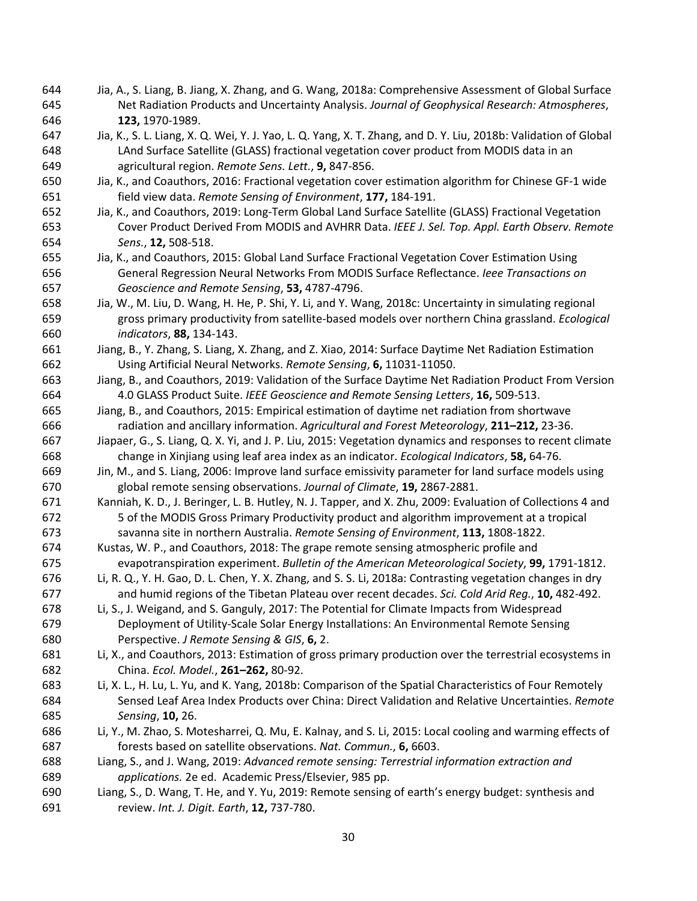- Jia, A., S. Liang, B. Jiang, X. Zhang, and G. Wang, 2018a: Comprehensive Assessment of Global Surface Net Radiation Products and Uncertainty Analysis. *Journal of Geophysical Research: Atmospheres*, **123,** 1970-1989.
- Jia, K., S. L. Liang, X. Q. Wei, Y. J. Yao, L. Q. Yang, X. T. Zhang, and D. Y. Liu, 2018b: Validation of Global LAnd Surface Satellite (GLASS) fractional vegetation cover product from MODIS data in an agricultural region. *Remote Sens. Lett.*, **9,** 847-856.
- Jia, K., and Coauthors, 2016: Fractional vegetation cover estimation algorithm for Chinese GF-1 wide field view data. *Remote Sensing of Environment*, **177,** 184-191.
- Jia, K., and Coauthors, 2019: Long-Term Global Land Surface Satellite (GLASS) Fractional Vegetation Cover Product Derived From MODIS and AVHRR Data. *IEEE J. Sel. Top. Appl. Earth Observ. Remote Sens.*, **12,** 508-518.
- Jia, K., and Coauthors, 2015: Global Land Surface Fractional Vegetation Cover Estimation Using General Regression Neural Networks From MODIS Surface Reflectance. *Ieee Transactions on Geoscience and Remote Sensing*, **53,** 4787-4796.
- Jia, W., M. Liu, D. Wang, H. He, P. Shi, Y. Li, and Y. Wang, 2018c: Uncertainty in simulating regional gross primary productivity from satellite-based models over northern China grassland. *Ecological indicators*, **88,** 134-143.
- Jiang, B., Y. Zhang, S. Liang, X. Zhang, and Z. Xiao, 2014: Surface Daytime Net Radiation Estimation Using Artificial Neural Networks. *Remote Sensing*, **6,** 11031-11050.
- Jiang, B., and Coauthors, 2019: Validation of the Surface Daytime Net Radiation Product From Version 4.0 GLASS Product Suite. *IEEE Geoscience and Remote Sensing Letters*, **16,** 509-513.
- Jiang, B., and Coauthors, 2015: Empirical estimation of daytime net radiation from shortwave radiation and ancillary information. *Agricultural and Forest Meteorology*, **211–212,** 23-36.
- Jiapaer, G., S. Liang, Q. X. Yi, and J. P. Liu, 2015: Vegetation dynamics and responses to recent climate change in Xinjiang using leaf area index as an indicator. *Ecological Indicators*, **58,** 64-76.
- Jin, M., and S. Liang, 2006: Improve land surface emissivity parameter for land surface models using global remote sensing observations. *Journal of Climate*, **19,** 2867-2881.
- Kanniah, K. D., J. Beringer, L. B. Hutley, N. J. Tapper, and X. Zhu, 2009: Evaluation of Collections 4 and 5 of the MODIS Gross Primary Productivity product and algorithm improvement at a tropical savanna site in northern Australia. *Remote Sensing of Environment*, **113,** 1808-1822.
- Kustas, W. P., and Coauthors, 2018: The grape remote sensing atmospheric profile and evapotranspiration experiment. *Bulletin of the American Meteorological Society*, **99,** 1791-1812.
- Li, R. Q., Y. H. Gao, D. L. Chen, Y. X. Zhang, and S. S. Li, 2018a: Contrasting vegetation changes in dry and humid regions of the Tibetan Plateau over recent decades. *Sci. Cold Arid Reg.*, **10,** 482-492.
- Li, S., J. Weigand, and S. Ganguly, 2017: The Potential for Climate Impacts from Widespread Deployment of Utility-Scale Solar Energy Installations: An Environmental Remote Sensing Perspective. *J Remote Sensing & GIS*, **6,** 2.
- Li, X., and Coauthors, 2013: Estimation of gross primary production over the terrestrial ecosystems in China. *Ecol. Model.*, **261–262,** 80-92.
- Li, X. L., H. Lu, L. Yu, and K. Yang, 2018b: Comparison of the Spatial Characteristics of Four Remotely Sensed Leaf Area Index Products over China: Direct Validation and Relative Uncertainties. *Remote Sensing*, **10,** 26.
- Li, Y., M. Zhao, S. Motesharrei, Q. Mu, E. Kalnay, and S. Li, 2015: Local cooling and warming effects of forests based on satellite observations. *Nat. Commun.*, **6,** 6603.
- Liang, S., and J. Wang, 2019: *Advanced remote sensing: Terrestrial information extraction and applications.* 2e ed. Academic Press/Elsevier, 985 pp.
- Liang, S., D. Wang, T. He, and Y. Yu, 2019: Remote sensing of earth's energy budget: synthesis and review. *Int. J. Digit. Earth*, **12,** 737-780.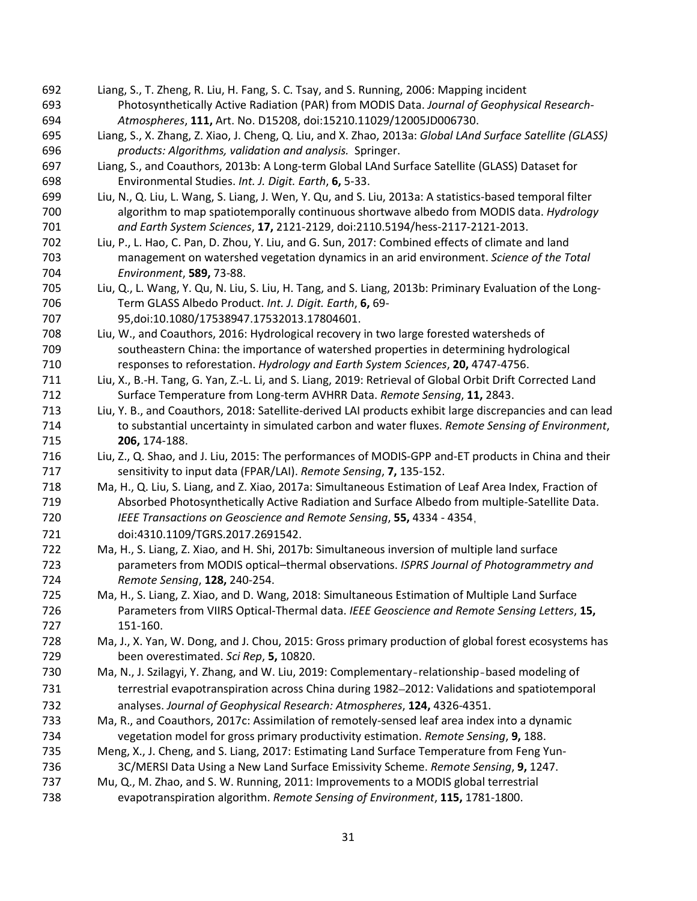- Liang, S., T. Zheng, R. Liu, H. Fang, S. C. Tsay, and S. Running, 2006: Mapping incident Photosynthetically Active Radiation (PAR) from MODIS Data. *Journal of Geophysical Research-Atmospheres*, **111,** Art. No. D15208, doi:15210.11029/12005JD006730.
- Liang, S., X. Zhang, Z. Xiao, J. Cheng, Q. Liu, and X. Zhao, 2013a: *Global LAnd Surface Satellite (GLASS) products: Algorithms, validation and analysis.* Springer.
- Liang, S., and Coauthors, 2013b: A Long-term Global LAnd Surface Satellite (GLASS) Dataset for Environmental Studies. *Int. J. Digit. Earth*, **6,** 5-33.
- Liu, N., Q. Liu, L. Wang, S. Liang, J. Wen, Y. Qu, and S. Liu, 2013a: A statistics-based temporal filter algorithm to map spatiotemporally continuous shortwave albedo from MODIS data. *Hydrology and Earth System Sciences*, **17,** 2121-2129, doi:2110.5194/hess-2117-2121-2013.
- Liu, P., L. Hao, C. Pan, D. Zhou, Y. Liu, and G. Sun, 2017: Combined effects of climate and land management on watershed vegetation dynamics in an arid environment. *Science of the Total Environment*, **589,** 73-88.
- Liu, Q., L. Wang, Y. Qu, N. Liu, S. Liu, H. Tang, and S. Liang, 2013b: Priminary Evaluation of the Long- Term GLASS Albedo Product. *Int. J. Digit. Earth*, **6,** 69- 95,doi:10.1080/17538947.17532013.17804601.
- Liu, W., and Coauthors, 2016: Hydrological recovery in two large forested watersheds of southeastern China: the importance of watershed properties in determining hydrological responses to reforestation. *Hydrology and Earth System Sciences*, **20,** 4747-4756.
- Liu, X., B.-H. Tang, G. Yan, Z.-L. Li, and S. Liang, 2019: Retrieval of Global Orbit Drift Corrected Land Surface Temperature from Long-term AVHRR Data. *Remote Sensing*, **11,** 2843.
- Liu, Y. B., and Coauthors, 2018: Satellite-derived LAI products exhibit large discrepancies and can lead to substantial uncertainty in simulated carbon and water fluxes. *Remote Sensing of Environment*, **206,** 174-188.
- Liu, Z., Q. Shao, and J. Liu, 2015: The performances of MODIS-GPP and-ET products in China and their sensitivity to input data (FPAR/LAI). *Remote Sensing*, **7,** 135-152.
- Ma, H., Q. Liu, S. Liang, and Z. Xiao, 2017a: Simultaneous Estimation of Leaf Area Index, Fraction of Absorbed Photosynthetically Active Radiation and Surface Albedo from multiple-Satellite Data. *IEEE Transactions on Geoscience and Remote Sensing*, **55,** 4334 - 4354,
- doi:4310.1109/TGRS.2017.2691542. Ma, H., S. Liang, Z. Xiao, and H. Shi, 2017b: Simultaneous inversion of multiple land surface
- parameters from MODIS optical–thermal observations. *ISPRS Journal of Photogrammetry and Remote Sensing*, **128,** 240-254.
- Ma, H., S. Liang, Z. Xiao, and D. Wang, 2018: Simultaneous Estimation of Multiple Land Surface Parameters from VIIRS Optical-Thermal data. *IEEE Geoscience and Remote Sensing Letters*, **15,** 151-160.
- Ma, J., X. Yan, W. Dong, and J. Chou, 2015: Gross primary production of global forest ecosystems has been overestimated. *Sci Rep*, **5,** 10820.
- Ma, N., J. Szilagyi, Y. Zhang, and W. Liu, 2019: Complementary‐relationship‐based modeling of terrestrial evapotranspiration across China during 1982–2012: Validations and spatiotemporal analyses. *Journal of Geophysical Research: Atmospheres*, **124,** 4326-4351.
- Ma, R., and Coauthors, 2017c: Assimilation of remotely-sensed leaf area index into a dynamic vegetation model for gross primary productivity estimation. *Remote Sensing*, **9,** 188.
- Meng, X., J. Cheng, and S. Liang, 2017: Estimating Land Surface Temperature from Feng Yun-3C/MERSI Data Using a New Land Surface Emissivity Scheme. *Remote Sensing*, **9,** 1247.
- Mu, Q., M. Zhao, and S. W. Running, 2011: Improvements to a MODIS global terrestrial
- evapotranspiration algorithm. *Remote Sensing of Environment*, **115,** 1781-1800.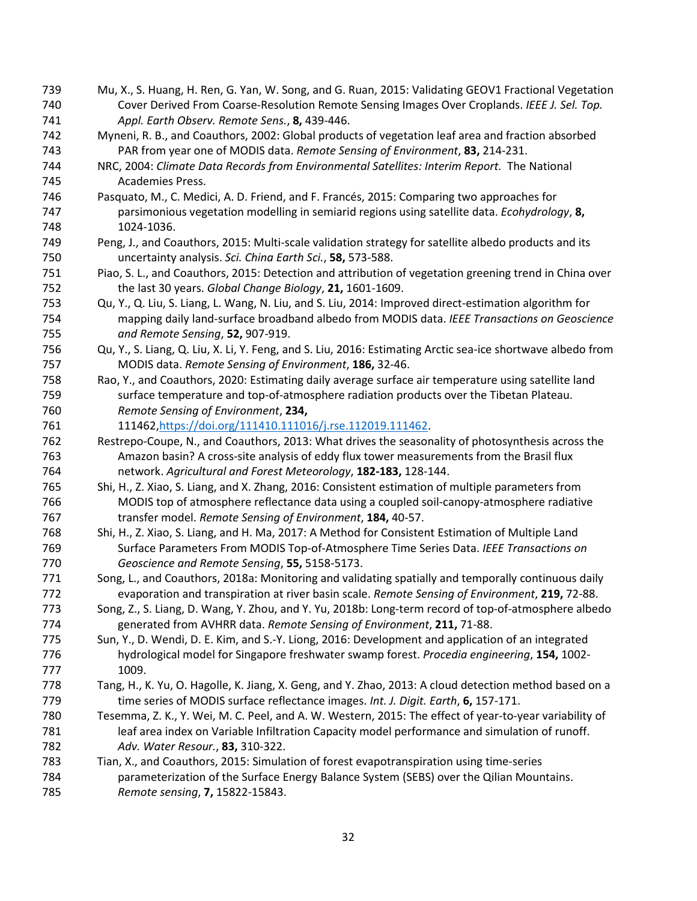- Mu, X., S. Huang, H. Ren, G. Yan, W. Song, and G. Ruan, 2015: Validating GEOV1 Fractional Vegetation Cover Derived From Coarse-Resolution Remote Sensing Images Over Croplands. *IEEE J. Sel. Top. Appl. Earth Observ. Remote Sens.*, **8,** 439-446. Myneni, R. B., and Coauthors, 2002: Global products of vegetation leaf area and fraction absorbed PAR from year one of MODIS data. *Remote Sensing of Environment*, **83,** 214-231. NRC, 2004: *Climate Data Records from Environmental Satellites: Interim Report.* The National Academies Press.
- Pasquato, M., C. Medici, A. D. Friend, and F. Francés, 2015: Comparing two approaches for parsimonious vegetation modelling in semiarid regions using satellite data. *Ecohydrology*, **8,** 1024-1036.
- Peng, J., and Coauthors, 2015: Multi-scale validation strategy for satellite albedo products and its uncertainty analysis. *Sci. China Earth Sci.*, **58,** 573-588.
- Piao, S. L., and Coauthors, 2015: Detection and attribution of vegetation greening trend in China over the last 30 years. *Global Change Biology*, **21,** 1601-1609.
- Qu, Y., Q. Liu, S. Liang, L. Wang, N. Liu, and S. Liu, 2014: Improved direct-estimation algorithm for mapping daily land-surface broadband albedo from MODIS data. *IEEE Transactions on Geoscience and Remote Sensing*, **52,** 907-919.
- Qu, Y., S. Liang, Q. Liu, X. Li, Y. Feng, and S. Liu, 2016: Estimating Arctic sea-ice shortwave albedo from MODIS data. *Remote Sensing of Environment*, **186,** 32-46.
- Rao, Y., and Coauthors, 2020: Estimating daily average surface air temperature using satellite land surface temperature and top-of-atmosphere radiation products over the Tibetan Plateau. *Remote Sensing of Environment*, **234,**
- 11146[2,https://doi.org/111410.111016/j.rse.112019.111462.](https://doi.org/111410.111016/j.rse.112019.111462)
- Restrepo-Coupe, N., and Coauthors, 2013: What drives the seasonality of photosynthesis across the Amazon basin? A cross-site analysis of eddy flux tower measurements from the Brasil flux network. *Agricultural and Forest Meteorology*, **182-183,** 128-144.
- Shi, H., Z. Xiao, S. Liang, and X. Zhang, 2016: Consistent estimation of multiple parameters from MODIS top of atmosphere reflectance data using a coupled soil-canopy-atmosphere radiative transfer model. *Remote Sensing of Environment*, **184,** 40-57.
- Shi, H., Z. Xiao, S. Liang, and H. Ma, 2017: A Method for Consistent Estimation of Multiple Land Surface Parameters From MODIS Top-of-Atmosphere Time Series Data. *IEEE Transactions on Geoscience and Remote Sensing*, **55,** 5158-5173.
- Song, L., and Coauthors, 2018a: Monitoring and validating spatially and temporally continuous daily evaporation and transpiration at river basin scale. *Remote Sensing of Environment*, **219,** 72-88.
- Song, Z., S. Liang, D. Wang, Y. Zhou, and Y. Yu, 2018b: Long-term record of top-of-atmosphere albedo generated from AVHRR data. *Remote Sensing of Environment*, **211,** 71-88.
- Sun, Y., D. Wendi, D. E. Kim, and S.-Y. Liong, 2016: Development and application of an integrated hydrological model for Singapore freshwater swamp forest. *Procedia engineering*, **154,** 1002- 1009.
- Tang, H., K. Yu, O. Hagolle, K. Jiang, X. Geng, and Y. Zhao, 2013: A cloud detection method based on a time series of MODIS surface reflectance images. *Int. J. Digit. Earth*, **6,** 157-171.
- Tesemma, Z. K., Y. Wei, M. C. Peel, and A. W. Western, 2015: The effect of year-to-year variability of 781 leaf area index on Variable Infiltration Capacity model performance and simulation of runoff. *Adv. Water Resour.*, **83,** 310-322.
- Tian, X., and Coauthors, 2015: Simulation of forest evapotranspiration using time-series parameterization of the Surface Energy Balance System (SEBS) over the Qilian Mountains. *Remote sensing*, **7,** 15822-15843.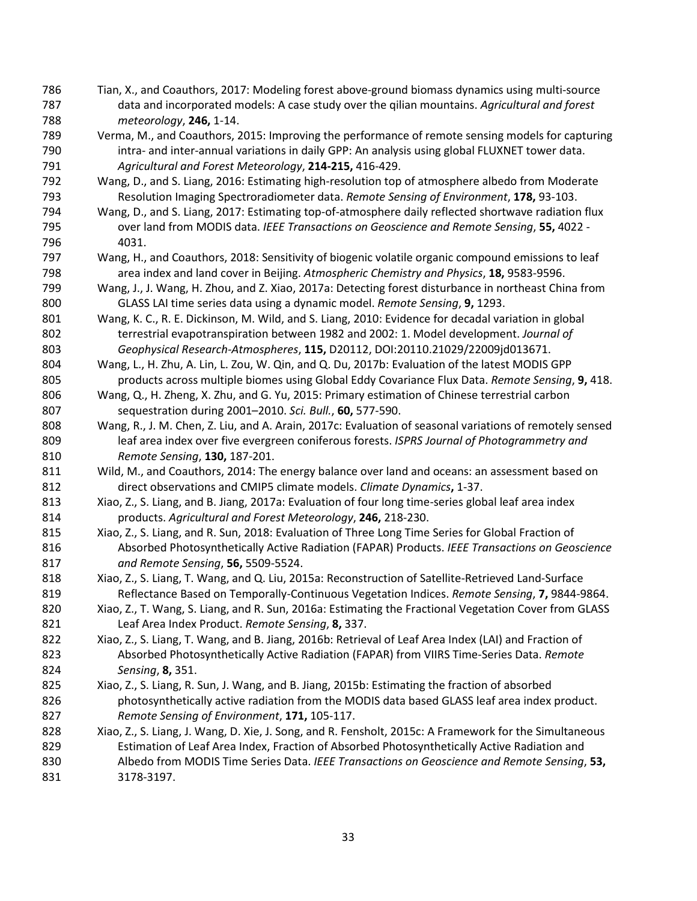- Tian, X., and Coauthors, 2017: Modeling forest above-ground biomass dynamics using multi-source data and incorporated models: A case study over the qilian mountains. *Agricultural and forest meteorology*, **246,** 1-14.
- Verma, M., and Coauthors, 2015: Improving the performance of remote sensing models for capturing intra- and inter-annual variations in daily GPP: An analysis using global FLUXNET tower data. *Agricultural and Forest Meteorology*, **214-215,** 416-429.
- Wang, D., and S. Liang, 2016: Estimating high-resolution top of atmosphere albedo from Moderate Resolution Imaging Spectroradiometer data. *Remote Sensing of Environment*, **178,** 93-103.
- Wang, D., and S. Liang, 2017: Estimating top-of-atmosphere daily reflected shortwave radiation flux over land from MODIS data. *IEEE Transactions on Geoscience and Remote Sensing*, **55,** 4022 - 4031.
- Wang, H., and Coauthors, 2018: Sensitivity of biogenic volatile organic compound emissions to leaf area index and land cover in Beijing. *Atmospheric Chemistry and Physics*, **18,** 9583-9596.
- Wang, J., J. Wang, H. Zhou, and Z. Xiao, 2017a: Detecting forest disturbance in northeast China from GLASS LAI time series data using a dynamic model. *Remote Sensing*, **9,** 1293.
- Wang, K. C., R. E. Dickinson, M. Wild, and S. Liang, 2010: Evidence for decadal variation in global terrestrial evapotranspiration between 1982 and 2002: 1. Model development. *Journal of Geophysical Research-Atmospheres*, **115,** D20112, DOI:20110.21029/22009jd013671.
- Wang, L., H. Zhu, A. Lin, L. Zou, W. Qin, and Q. Du, 2017b: Evaluation of the latest MODIS GPP products across multiple biomes using Global Eddy Covariance Flux Data. *Remote Sensing*, **9,** 418.
- Wang, Q., H. Zheng, X. Zhu, and G. Yu, 2015: Primary estimation of Chinese terrestrial carbon sequestration during 2001–2010. *Sci. Bull.*, **60,** 577-590.
- Wang, R., J. M. Chen, Z. Liu, and A. Arain, 2017c: Evaluation of seasonal variations of remotely sensed leaf area index over five evergreen coniferous forests. *ISPRS Journal of Photogrammetry and Remote Sensing*, **130,** 187-201.
- Wild, M., and Coauthors, 2014: The energy balance over land and oceans: an assessment based on direct observations and CMIP5 climate models. *Climate Dynamics***,** 1-37.
- Xiao, Z., S. Liang, and B. Jiang, 2017a: Evaluation of four long time-series global leaf area index products. *Agricultural and Forest Meteorology*, **246,** 218-230.
- Xiao, Z., S. Liang, and R. Sun, 2018: Evaluation of Three Long Time Series for Global Fraction of Absorbed Photosynthetically Active Radiation (FAPAR) Products. *IEEE Transactions on Geoscience and Remote Sensing*, **56,** 5509-5524.
- Xiao, Z., S. Liang, T. Wang, and Q. Liu, 2015a: Reconstruction of Satellite-Retrieved Land-Surface Reflectance Based on Temporally-Continuous Vegetation Indices. *Remote Sensing*, **7,** 9844-9864.
- Xiao, Z., T. Wang, S. Liang, and R. Sun, 2016a: Estimating the Fractional Vegetation Cover from GLASS Leaf Area Index Product. *Remote Sensing*, **8,** 337.
- Xiao, Z., S. Liang, T. Wang, and B. Jiang, 2016b: Retrieval of Leaf Area Index (LAI) and Fraction of Absorbed Photosynthetically Active Radiation (FAPAR) from VIIRS Time-Series Data. *Remote Sensing*, **8,** 351.
- Xiao, Z., S. Liang, R. Sun, J. Wang, and B. Jiang, 2015b: Estimating the fraction of absorbed photosynthetically active radiation from the MODIS data based GLASS leaf area index product. *Remote Sensing of Environment*, **171,** 105-117.
- 828 Xiao, Z., S. Liang, J. Wang, D. Xie, J. Song, and R. Fensholt, 2015c: A Framework for the Simultaneous Estimation of Leaf Area Index, Fraction of Absorbed Photosynthetically Active Radiation and Albedo from MODIS Time Series Data. *IEEE Transactions on Geoscience and Remote Sensing*, **53,** 3178-3197.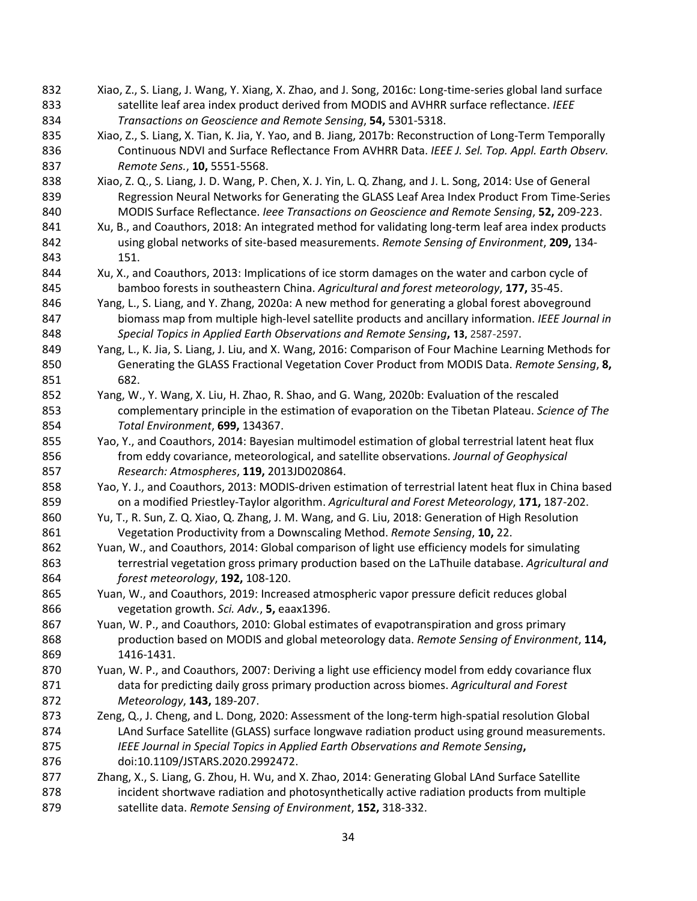- Xiao, Z., S. Liang, J. Wang, Y. Xiang, X. Zhao, and J. Song, 2016c: Long-time-series global land surface satellite leaf area index product derived from MODIS and AVHRR surface reflectance. *IEEE Transactions on Geoscience and Remote Sensing*, **54,** 5301-5318.
- 835 Xiao, Z., S. Liang, X. Tian, K. Jia, Y. Yao, and B. Jiang, 2017b: Reconstruction of Long-Term Temporally Continuous NDVI and Surface Reflectance From AVHRR Data. *IEEE J. Sel. Top. Appl. Earth Observ. Remote Sens.*, **10,** 5551-5568.
- 838 Xiao, Z. Q., S. Liang, J. D. Wang, P. Chen, X. J. Yin, L. Q. Zhang, and J. L. Song, 2014: Use of General Regression Neural Networks for Generating the GLASS Leaf Area Index Product From Time-Series MODIS Surface Reflectance. *Ieee Transactions on Geoscience and Remote Sensing*, **52,** 209-223.
- 841 Xu, B., and Coauthors, 2018: An integrated method for validating long-term leaf area index products using global networks of site-based measurements. *Remote Sensing of Environment*, **209,** 134- 151.
- Xu, X., and Coauthors, 2013: Implications of ice storm damages on the water and carbon cycle of bamboo forests in southeastern China. *Agricultural and forest meteorology*, **177,** 35-45.
- Yang, L., S. Liang, and Y. Zhang, 2020a: A new method for generating a global forest aboveground biomass map from multiple high-level satellite products and ancillary information. *IEEE Journal in Special Topics in Applied Earth Observations and Remote Sensing***, 13,** 2587-2597.
- 849 Yang, L., K. Jia, S. Liang, J. Liu, and X. Wang, 2016: Comparison of Four Machine Learning Methods for Generating the GLASS Fractional Vegetation Cover Product from MODIS Data. *Remote Sensing*, **8,** 682.
- Yang, W., Y. Wang, X. Liu, H. Zhao, R. Shao, and G. Wang, 2020b: Evaluation of the rescaled complementary principle in the estimation of evaporation on the Tibetan Plateau. *Science of The Total Environment*, **699,** 134367.
- Yao, Y., and Coauthors, 2014: Bayesian multimodel estimation of global terrestrial latent heat flux from eddy covariance, meteorological, and satellite observations. *Journal of Geophysical Research: Atmospheres*, **119,** 2013JD020864.
- Yao, Y. J., and Coauthors, 2013: MODIS-driven estimation of terrestrial latent heat flux in China based on a modified Priestley-Taylor algorithm. *Agricultural and Forest Meteorology*, **171,** 187-202.
- Yu, T., R. Sun, Z. Q. Xiao, Q. Zhang, J. M. Wang, and G. Liu, 2018: Generation of High Resolution Vegetation Productivity from a Downscaling Method. *Remote Sensing*, **10,** 22.
- Yuan, W., and Coauthors, 2014: Global comparison of light use efficiency models for simulating terrestrial vegetation gross primary production based on the LaThuile database. *Agricultural and forest meteorology*, **192,** 108-120.
- Yuan, W., and Coauthors, 2019: Increased atmospheric vapor pressure deficit reduces global vegetation growth. *Sci. Adv.*, **5,** eaax1396.
- Yuan, W. P., and Coauthors, 2010: Global estimates of evapotranspiration and gross primary production based on MODIS and global meteorology data. *Remote Sensing of Environment*, **114,** 1416-1431.
- Yuan, W. P., and Coauthors, 2007: Deriving a light use efficiency model from eddy covariance flux data for predicting daily gross primary production across biomes. *Agricultural and Forest Meteorology*, **143,** 189-207.
- 873 Zeng, Q., J. Cheng, and L. Dong, 2020: Assessment of the long-term high-spatial resolution Global LAnd Surface Satellite (GLASS) surface longwave radiation product using ground measurements. *IEEE Journal in Special Topics in Applied Earth Observations and Remote Sensing***,** doi:10.1109/JSTARS.2020.2992472.
- Zhang, X., S. Liang, G. Zhou, H. Wu, and X. Zhao, 2014: Generating Global LAnd Surface Satellite incident shortwave radiation and photosynthetically active radiation products from multiple satellite data. *Remote Sensing of Environment*, **152,** 318-332.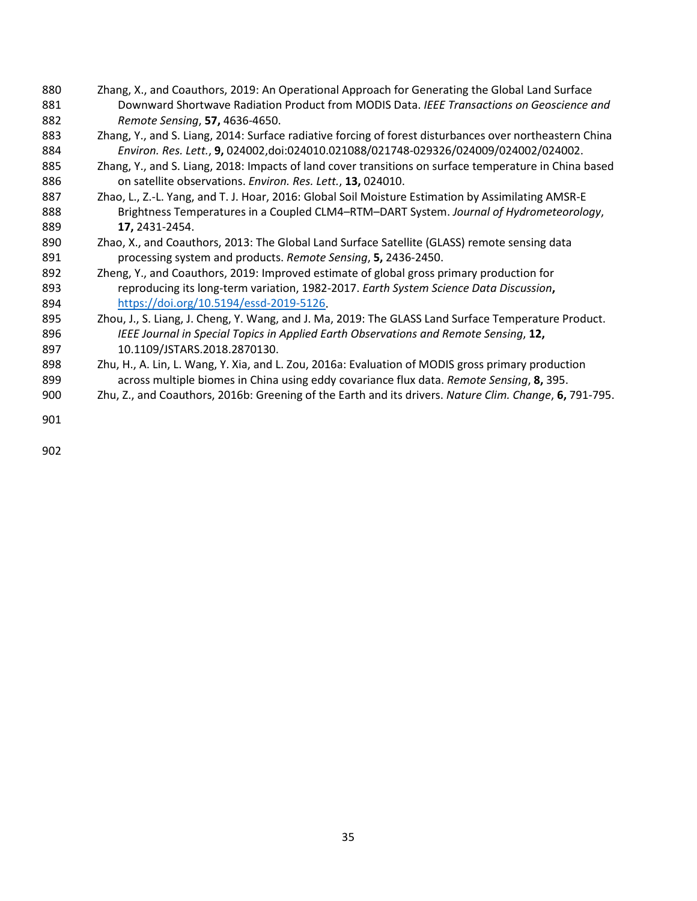- Zhang, X., and Coauthors, 2019: An Operational Approach for Generating the Global Land Surface Downward Shortwave Radiation Product from MODIS Data. *IEEE Transactions on Geoscience and Remote Sensing*, **57,** 4636-4650.
- 883 Zhang, Y., and S. Liang, 2014: Surface radiative forcing of forest disturbances over northeastern China *Environ. Res. Lett.*, **9,** 024002,doi:024010.021088/021748-029326/024009/024002/024002.
- 885 Zhang, Y., and S. Liang, 2018: Impacts of land cover transitions on surface temperature in China based on satellite observations. *Environ. Res. Lett.*, **13,** 024010.
- 887 Zhao, L., Z.-L. Yang, and T. J. Hoar, 2016: Global Soil Moisture Estimation by Assimilating AMSR-E Brightness Temperatures in a Coupled CLM4–RTM–DART System. *Journal of Hydrometeorology*, **17,** 2431-2454.
- Zhao, X., and Coauthors, 2013: The Global Land Surface Satellite (GLASS) remote sensing data processing system and products. *Remote Sensing*, **5,** 2436-2450.
- Zheng, Y., and Coauthors, 2019: Improved estimate of global gross primary production for reproducing its long-term variation, 1982-2017. *Earth System Science Data Discussion***,** [https://doi.org/10.5194/essd-2019-5126.](https://doi.org/10.5194/essd-2019-5126)
- 895 Zhou, J., S. Liang, J. Cheng, Y. Wang, and J. Ma, 2019: The GLASS Land Surface Temperature Product. *IEEE Journal in Special Topics in Applied Earth Observations and Remote Sensing*, **12,** 10.1109/JSTARS.2018.2870130.
- 898 Zhu, H., A. Lin, L. Wang, Y. Xia, and L. Zou, 2016a: Evaluation of MODIS gross primary production across multiple biomes in China using eddy covariance flux data. *Remote Sensing*, **8,** 395.
- Zhu, Z., and Coauthors, 2016b: Greening of the Earth and its drivers. *Nature Clim. Change*, **6,** 791-795.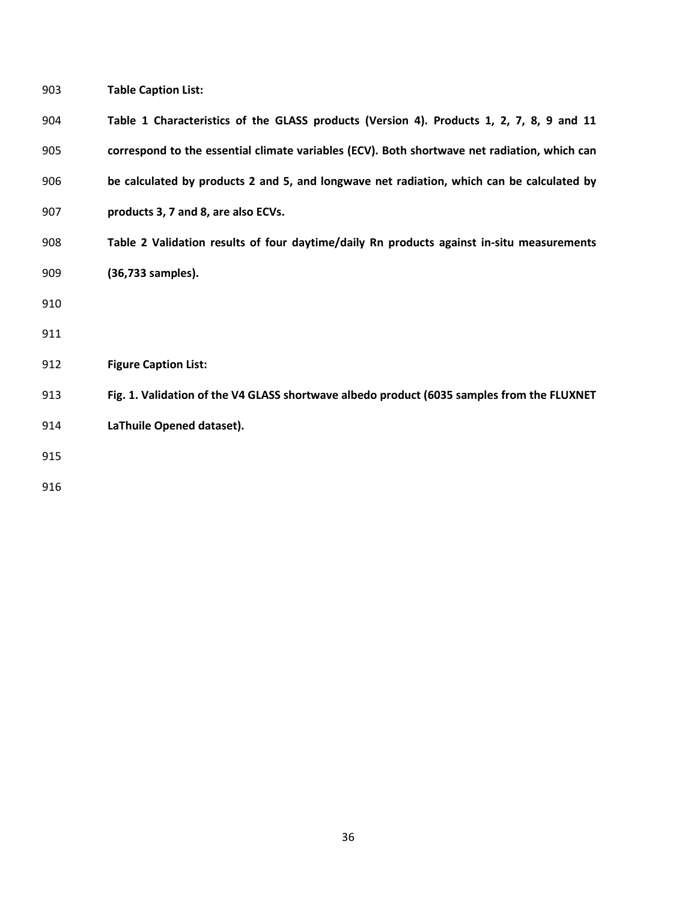| 903 | <b>Table Caption List:</b> |
|-----|----------------------------|
|-----|----------------------------|

| 904 | Table 1 Characteristics of the GLASS products (Version 4). Products 1, 2, 7, 8, 9 and 11     |
|-----|----------------------------------------------------------------------------------------------|
| 905 | correspond to the essential climate variables (ECV). Both shortwave net radiation, which can |
| 906 | be calculated by products 2 and 5, and longwave net radiation, which can be calculated by    |
| 907 | products 3, 7 and 8, are also ECVs.                                                          |
| 908 | Table 2 Validation results of four daytime/daily Rn products against in-situ measurements    |
| 909 | (36,733 samples).                                                                            |
| 910 |                                                                                              |
| 911 |                                                                                              |
| 912 | <b>Figure Caption List:</b>                                                                  |
| 913 | Fig. 1. Validation of the V4 GLASS shortwave albedo product (6035 samples from the FLUXNET   |
| 914 | LaThuile Opened dataset).                                                                    |
| 915 |                                                                                              |
| 916 |                                                                                              |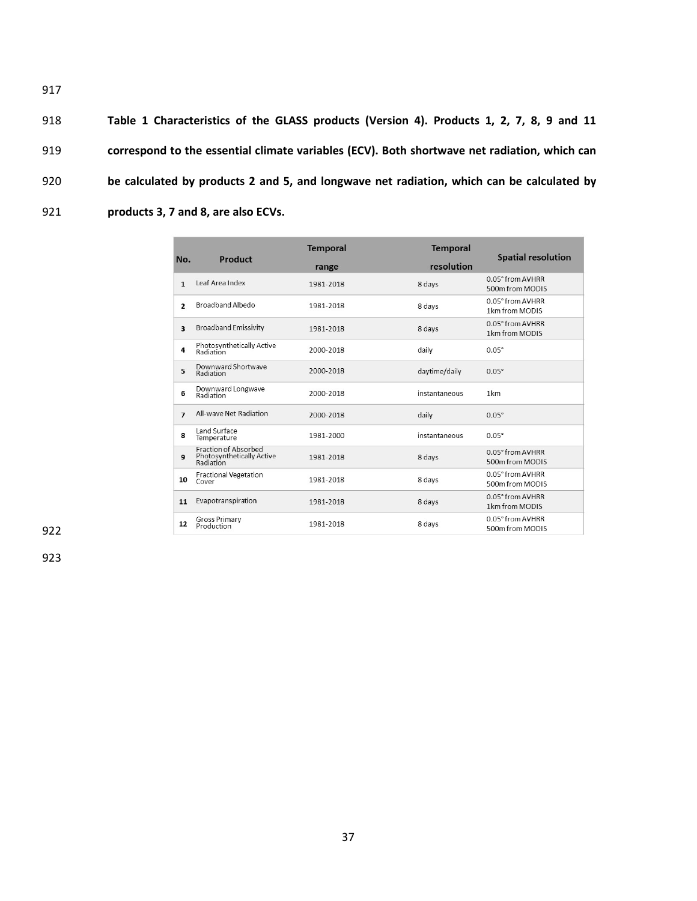**Table 1 Characteristics of the GLASS products (Version 4). Products 1, 2, 7, 8, 9 and 11 correspond to the essential climate variables (ECV). Both shortwave net radiation, which can be calculated by products 2 and 5, and longwave net radiation, which can be calculated by products 3, 7 and 8, are also ECVs.**

| No.                     | Product                                                               | <b>Temporal</b><br><b>Temporal</b> |               | <b>Spatial resolution</b>           |  |
|-------------------------|-----------------------------------------------------------------------|------------------------------------|---------------|-------------------------------------|--|
|                         |                                                                       | range                              | resolution    |                                     |  |
| $\mathbf{1}$            | Leaf Area Index                                                       | 1981-2018                          | 8 days        | 0.05° from AVHRR<br>500m from MODIS |  |
| $\overline{2}$          | <b>Broadband Albedo</b>                                               | 1981-2018                          | 8 days        | 0.05° from AVHRR<br>1km from MODIS  |  |
| $\overline{\mathbf{3}}$ | <b>Broadband Emissivity</b>                                           | 1981-2018                          | 8 days        | 0.05° from AVHRR<br>1km from MODIS  |  |
| 4                       | Photosynthetically Active<br>Radiation                                | 2000-2018                          | daily         | $0.05^\circ$                        |  |
| 5                       | Downward Shortwave<br>Radiation                                       | 2000-2018                          | daytime/daily | $0.05^\circ$                        |  |
| 6                       | Downward Longwave<br>Radiation                                        | 2000-2018                          | instantaneous | 1km                                 |  |
| $\overline{7}$          | All-wave Net Radiation                                                | 2000-2018                          | daily         | $0.05^\circ$                        |  |
| 8                       | Land Surface<br>Temperature                                           | 1981-2000                          | instantaneous | $0.05^\circ$                        |  |
| 9                       | <b>Fraction of Absorbed</b><br>Photosynthetically Active<br>Radiation | 1981-2018                          | 8 days        | 0.05° from AVHRR<br>500m from MODIS |  |
| 10                      | <b>Fractional Vegetation</b><br>Cover                                 | 1981-2018                          | 8 days        | 0.05° from AVHRR<br>500m from MODIS |  |
| 11                      | Evapotranspiration                                                    | 1981-2018                          | 8 days        | 0.05° from AVHRR<br>1km from MODIS  |  |
| 12                      | <b>Gross Primary</b><br>Production                                    | 1981-2018                          | 8 days        | 0.05° from AVHRR<br>500m from MODIS |  |